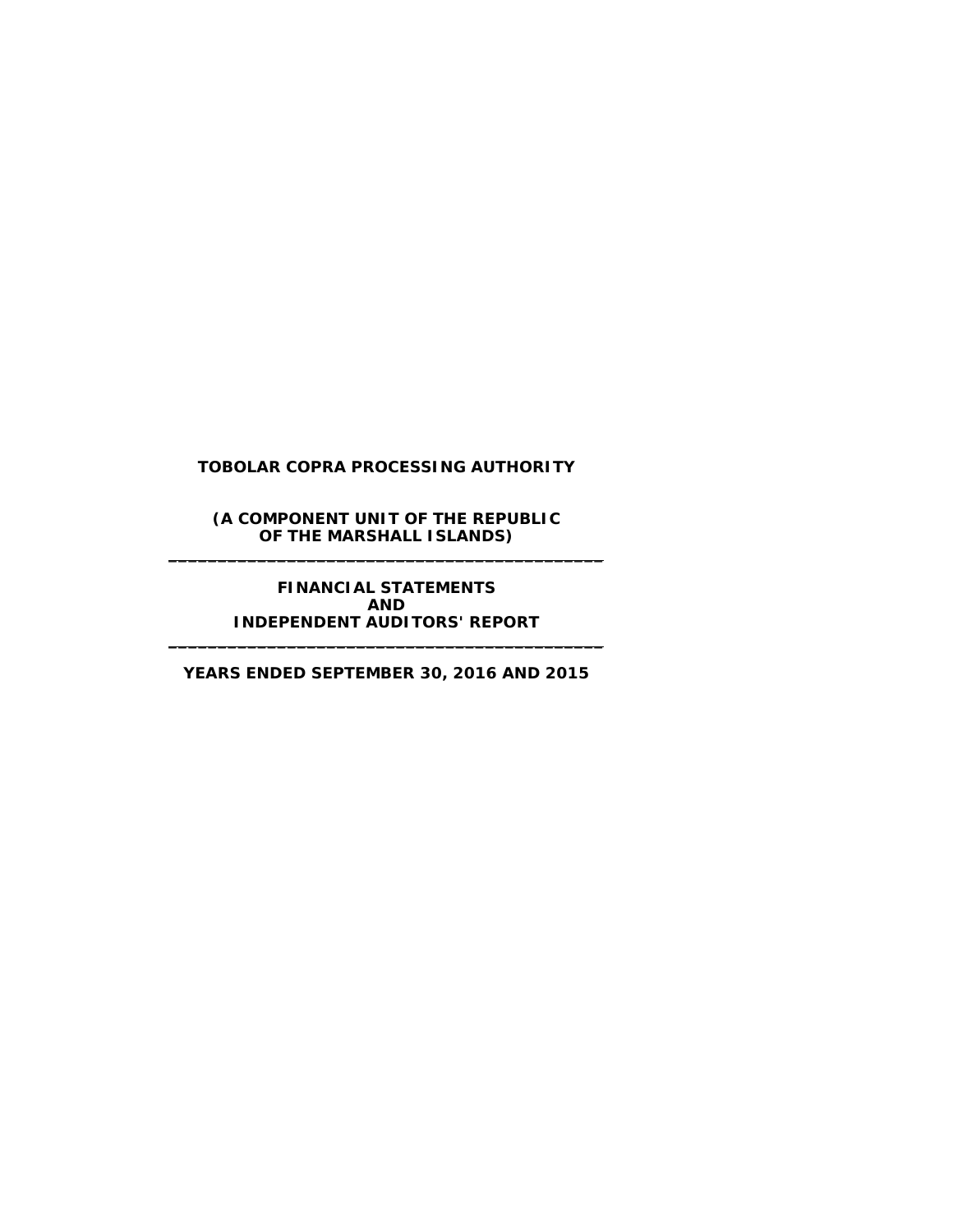**(A COMPONENT UNIT OF THE REPUBLIC OF THE MARSHALL ISLANDS)**  $\frac{1}{2}$  ,  $\frac{1}{2}$  ,  $\frac{1}{2}$  ,  $\frac{1}{2}$  ,  $\frac{1}{2}$  ,  $\frac{1}{2}$  ,  $\frac{1}{2}$  ,  $\frac{1}{2}$  ,  $\frac{1}{2}$  ,  $\frac{1}{2}$  ,  $\frac{1}{2}$  ,  $\frac{1}{2}$  ,  $\frac{1}{2}$  ,  $\frac{1}{2}$  ,  $\frac{1}{2}$  ,  $\frac{1}{2}$  ,  $\frac{1}{2}$  ,  $\frac{1}{2}$  ,  $\frac{1$ 

> **FINANCIAL STATEMENTS AND INDEPENDENT AUDITORS' REPORT**

**YEARS ENDED SEPTEMBER 30, 2016 AND 2015**

 $\frac{1}{2}$  ,  $\frac{1}{2}$  ,  $\frac{1}{2}$  ,  $\frac{1}{2}$  ,  $\frac{1}{2}$  ,  $\frac{1}{2}$  ,  $\frac{1}{2}$  ,  $\frac{1}{2}$  ,  $\frac{1}{2}$  ,  $\frac{1}{2}$  ,  $\frac{1}{2}$  ,  $\frac{1}{2}$  ,  $\frac{1}{2}$  ,  $\frac{1}{2}$  ,  $\frac{1}{2}$  ,  $\frac{1}{2}$  ,  $\frac{1}{2}$  ,  $\frac{1}{2}$  ,  $\frac{1$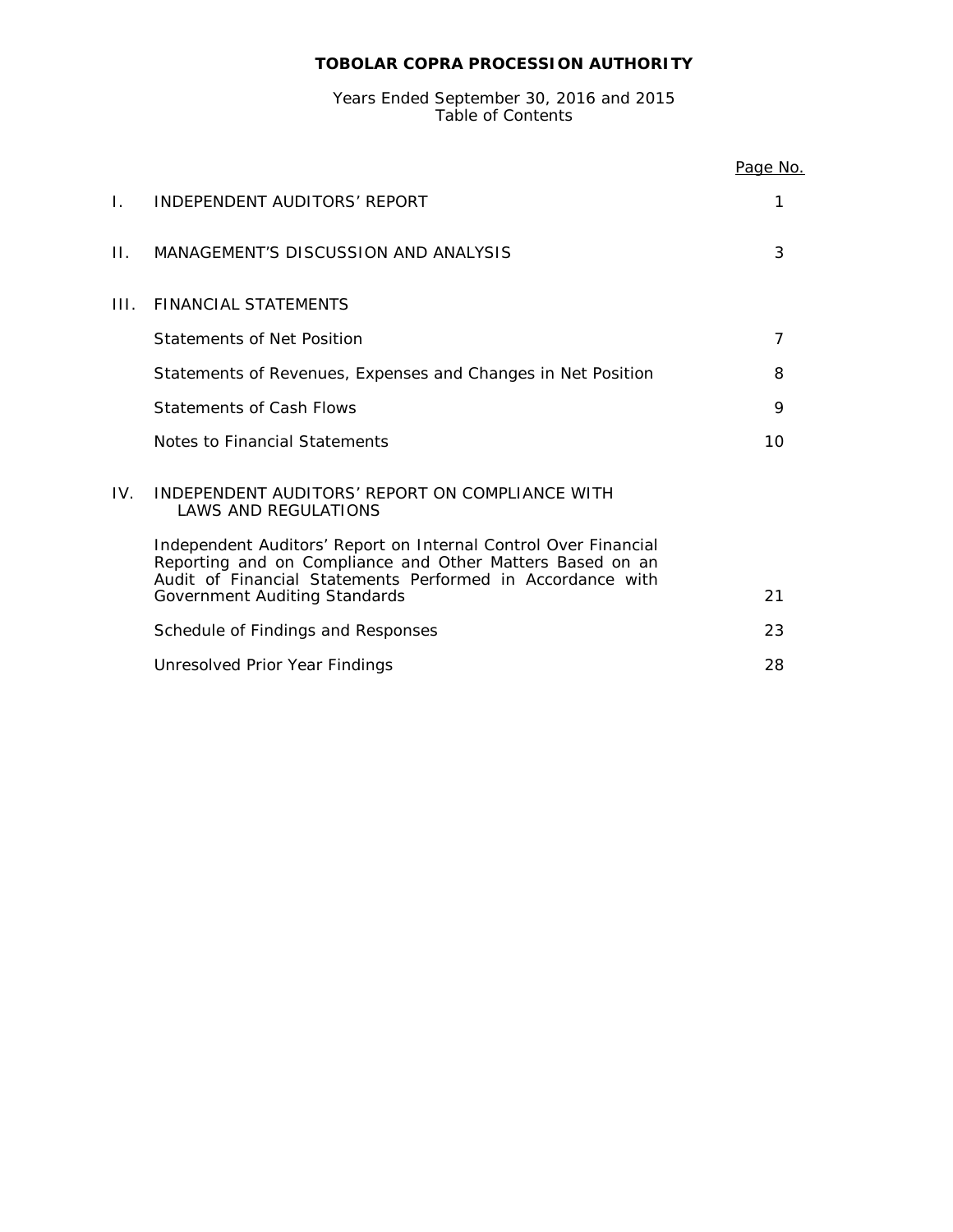# Years Ended September 30, 2016 and 2015 Table of Contents

|                                                                                                                              | Page No.                                                   |
|------------------------------------------------------------------------------------------------------------------------------|------------------------------------------------------------|
| INDEPENDENT AUDITORS' REPORT                                                                                                 | 1                                                          |
| MANAGEMENT'S DISCUSSION AND ANALYSIS                                                                                         | 3                                                          |
| FINANCIAL STATEMENTS                                                                                                         |                                                            |
| Statements of Net Position                                                                                                   | 7                                                          |
| Statements of Revenues, Expenses and Changes in Net Position                                                                 | 8                                                          |
| <b>Statements of Cash Flows</b>                                                                                              | 9                                                          |
| Notes to Financial Statements                                                                                                | 10                                                         |
| INDEPENDENT AUDITORS' REPORT ON COMPLIANCE WITH<br><b>LAWS AND REGULATIONS</b>                                               |                                                            |
| Independent Auditors' Report on Internal Control Over Financial<br>Reporting and on Compliance and Other Matters Based on an |                                                            |
| Government Auditing Standards                                                                                                | 21                                                         |
| Schedule of Findings and Responses                                                                                           | 23                                                         |
| Unresolved Prior Year Findings                                                                                               | 28                                                         |
|                                                                                                                              | Audit of Financial Statements Performed in Accordance with |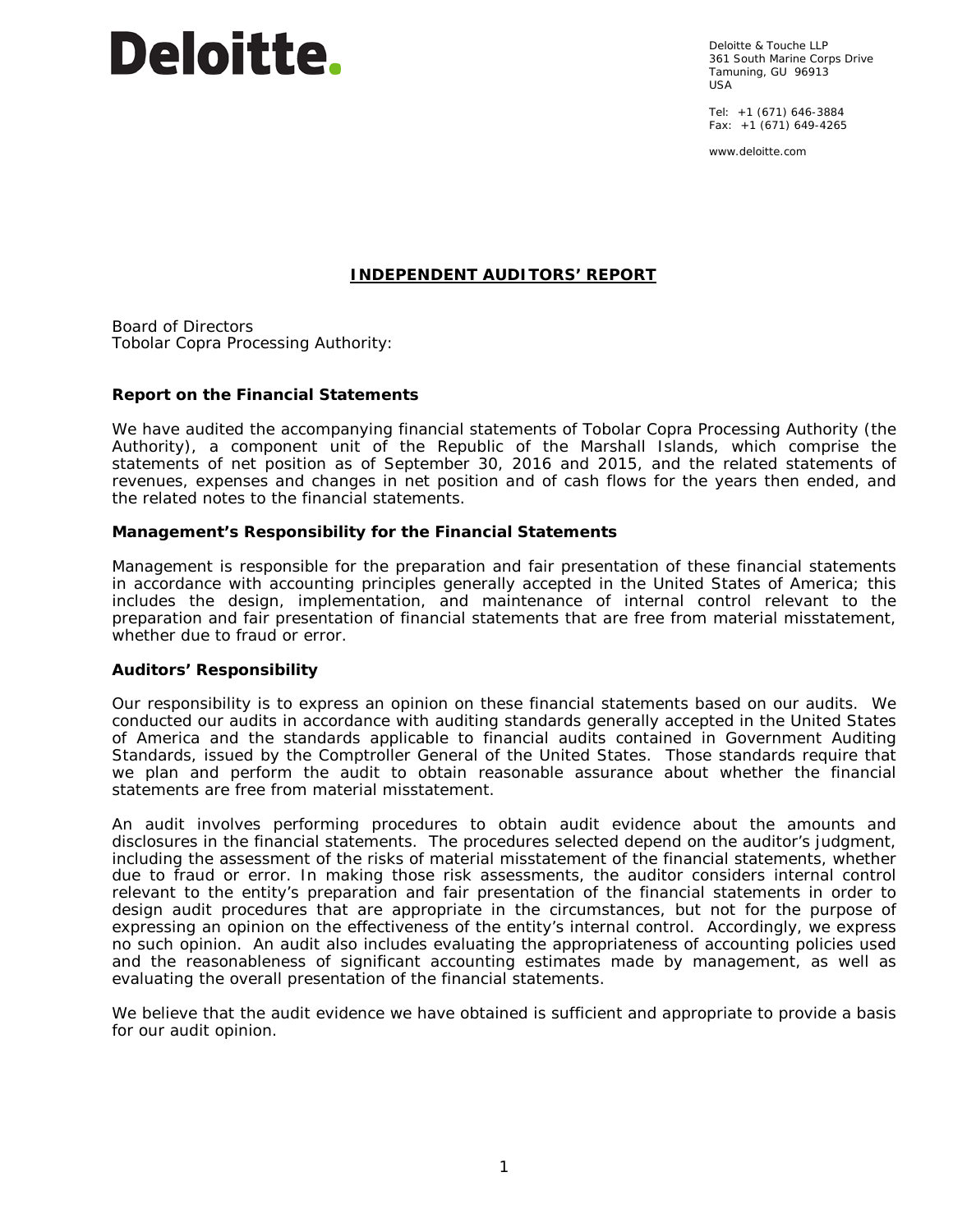# **Deloitte**.

Deloitte & Touche LLP 361 South Marine Corps Drive Tamuning, GU 96913 USA

Tel: +1 (671) 646-3884 Fax: +1 (671) 649-4265

www.deloitte.com

# **INDEPENDENT AUDITORS' REPORT**

Board of Directors Tobolar Copra Processing Authority:

# **Report on the Financial Statements**

We have audited the accompanying financial statements of Tobolar Copra Processing Authority (the Authority), a component unit of the Republic of the Marshall Islands, which comprise the statements of net position as of September 30, 2016 and 2015, and the related statements of revenues, expenses and changes in net position and of cash flows for the years then ended, and the related notes to the financial statements.

# *Management's Responsibility for the Financial Statements*

Management is responsible for the preparation and fair presentation of these financial statements in accordance with accounting principles generally accepted in the United States of America; this includes the design, implementation, and maintenance of internal control relevant to the preparation and fair presentation of financial statements that are free from material misstatement, whether due to fraud or error.

#### *Auditors' Responsibility*

Our responsibility is to express an opinion on these financial statements based on our audits. We conducted our audits in accordance with auditing standards generally accepted in the United States of America and the standards applicable to financial audits contained in *Government Auditing Standards,* issued by the Comptroller General of the United States. Those standards require that we plan and perform the audit to obtain reasonable assurance about whether the financial statements are free from material misstatement.

An audit involves performing procedures to obtain audit evidence about the amounts and disclosures in the financial statements. The procedures selected depend on the auditor's judgment, including the assessment of the risks of material misstatement of the financial statements, whether due to fraud or error. In making those risk assessments, the auditor considers internal control relevant to the entity's preparation and fair presentation of the financial statements in order to design audit procedures that are appropriate in the circumstances, but not for the purpose of expressing an opinion on the effectiveness of the entity's internal control. Accordingly, we express no such opinion. An audit also includes evaluating the appropriateness of accounting policies used and the reasonableness of significant accounting estimates made by management, as well as evaluating the overall presentation of the financial statements.

We believe that the audit evidence we have obtained is sufficient and appropriate to provide a basis for our audit opinion.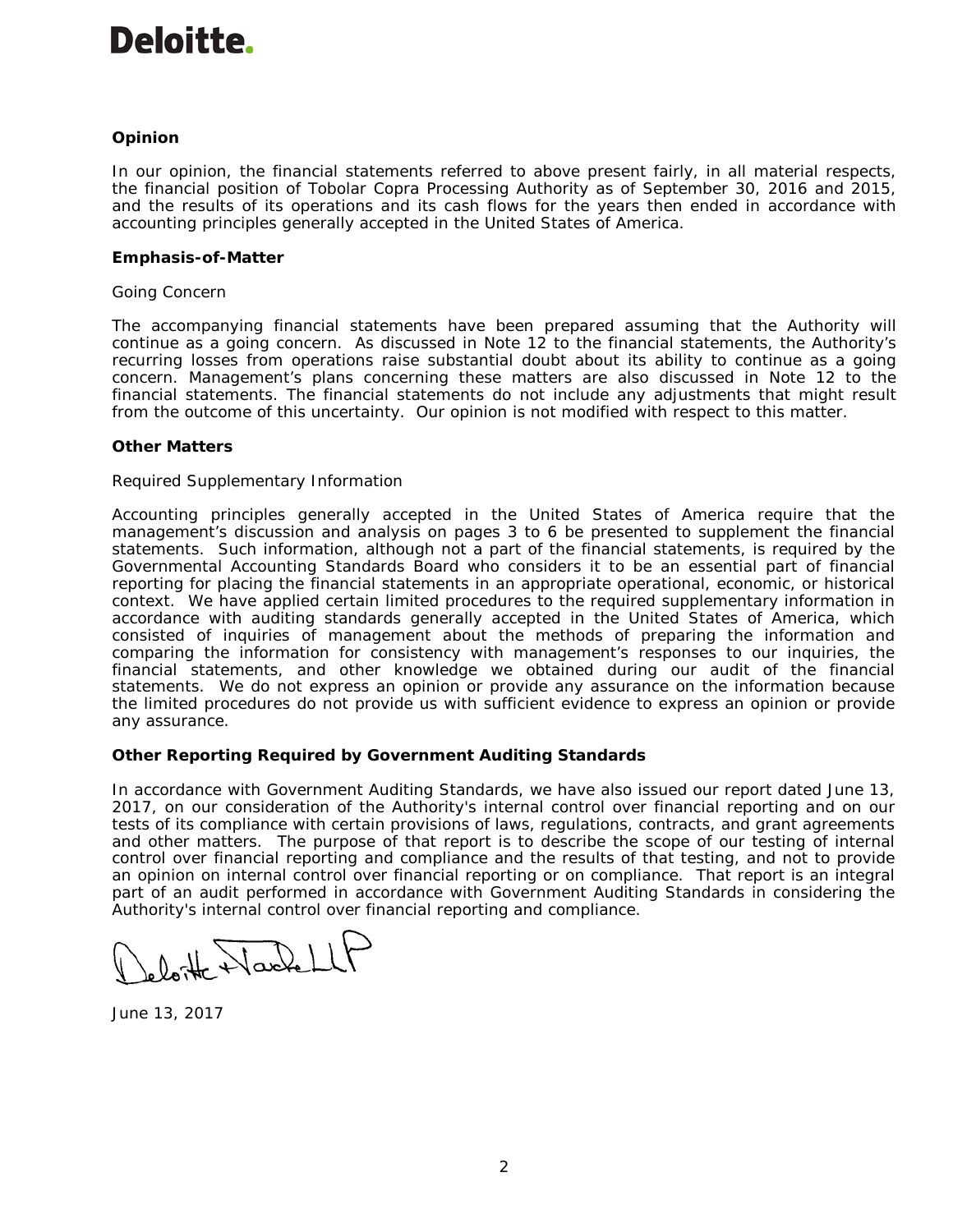# Deloitte.

# *Opinion*

In our opinion, the financial statements referred to above present fairly, in all material respects, the financial position of Tobolar Copra Processing Authority as of September 30, 2016 and 2015, and the results of its operations and its cash flows for the years then ended in accordance with accounting principles generally accepted in the United States of America.

# *Emphasis-of-Matter*

# *Going Concern*

The accompanying financial statements have been prepared assuming that the Authority will continue as a going concern. As discussed in Note 12 to the financial statements, the Authority's recurring losses from operations raise substantial doubt about its ability to continue as a going concern. Management's plans concerning these matters are also discussed in Note 12 to the financial statements. The financial statements do not include any adjustments that might result from the outcome of this uncertainty. Our opinion is not modified with respect to this matter.

# *Other Matters*

# *Required Supplementary Information*

Accounting principles generally accepted in the United States of America require that the management's discussion and analysis on pages 3 to 6 be presented to supplement the financial statements. Such information, although not a part of the financial statements, is required by the Governmental Accounting Standards Board who considers it to be an essential part of financial reporting for placing the financial statements in an appropriate operational, economic, or historical context. We have applied certain limited procedures to the required supplementary information in accordance with auditing standards generally accepted in the United States of America, which consisted of inquiries of management about the methods of preparing the information and comparing the information for consistency with management's responses to our inquiries, the financial statements, and other knowledge we obtained during our audit of the financial statements. We do not express an opinion or provide any assurance on the information because the limited procedures do not provide us with sufficient evidence to express an opinion or provide any assurance.

# **Other Reporting Required by** *Government Auditing Standards*

In accordance with *Government Auditing Standards*, we have also issued our report dated June 13, 2017, on our consideration of the Authority's internal control over financial reporting and on our tests of its compliance with certain provisions of laws, regulations, contracts, and grant agreements and other matters. The purpose of that report is to describe the scope of our testing of internal control over financial reporting and compliance and the results of that testing, and not to provide an opinion on internal control over financial reporting or on compliance. That report is an integral part of an audit performed in accordance with *Government Auditing Standards* in considering the Authority's internal control over financial reporting and compliance.

Flackel

June 13, 2017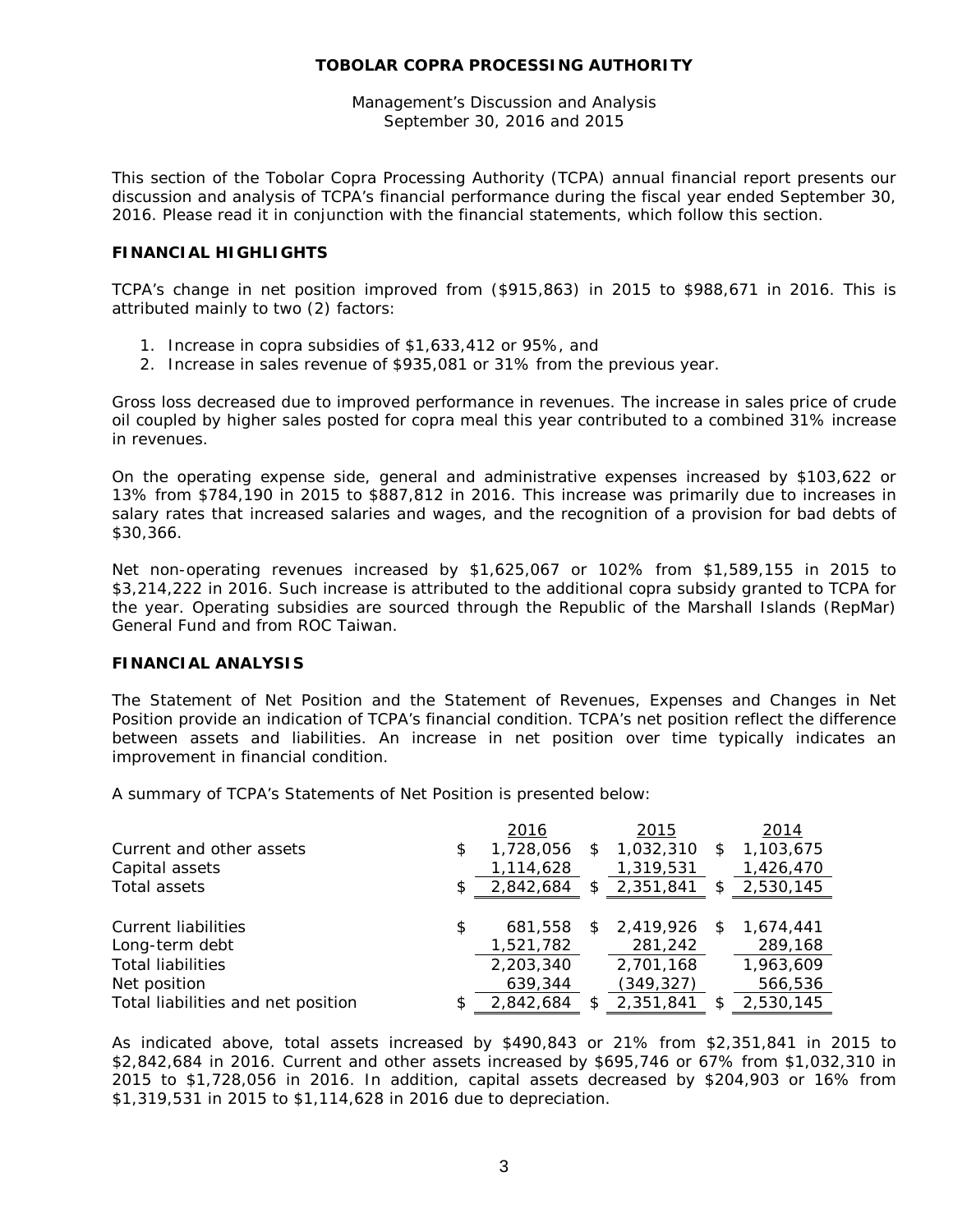Management's Discussion and Analysis September 30, 2016 and 2015

This section of the Tobolar Copra Processing Authority (TCPA) annual financial report presents our discussion and analysis of TCPA's financial performance during the fiscal year ended September 30, 2016. Please read it in conjunction with the financial statements, which follow this section.

# **FINANCIAL HIGHLIGHTS**

TCPA's change in net position improved from (\$915,863) in 2015 to \$988,671 in 2016. This is attributed mainly to two (2) factors:

- 1. Increase in copra subsidies of \$1,633,412 or 95%, and
- 2. Increase in sales revenue of \$935,081 or 31% from the previous year.

Gross loss decreased due to improved performance in revenues. The increase in sales price of crude oil coupled by higher sales posted for copra meal this year contributed to a combined 31% increase in revenues.

On the operating expense side, general and administrative expenses increased by \$103,622 or 13% from \$784,190 in 2015 to \$887,812 in 2016. This increase was primarily due to increases in salary rates that increased salaries and wages, and the recognition of a provision for bad debts of \$30,366.

Net non-operating revenues increased by \$1,625,067 or 102% from \$1,589,155 in 2015 to \$3,214,222 in 2016. Such increase is attributed to the additional copra subsidy granted to TCPA for the year. Operating subsidies are sourced through the Republic of the Marshall Islands (RepMar) General Fund and from ROC Taiwan.

# **FINANCIAL ANALYSIS**

The Statement of Net Position and the Statement of Revenues, Expenses and Changes in Net Position provide an indication of TCPA's financial condition. TCPA's net position reflect the difference between assets and liabilities. An increase in net position over time typically indicates an improvement in financial condition.

A summary of TCPA's Statements of Net Position is presented below:

|                                    | 2016            |    | 2015       |   | 2014      |
|------------------------------------|-----------------|----|------------|---|-----------|
| Current and other assets           | \$<br>1,728,056 | \$ | 1,032,310  | S | 1,103,675 |
| Capital assets                     | 1,114,628       |    | 1,319,531  |   | 1,426,470 |
| Total assets                       | \$<br>2,842,684 | \$ | 2,351,841  | S | 2,530,145 |
|                                    |                 |    |            |   |           |
| Current liabilities                | \$<br>681,558   | S. | 2,419,926  | S | 1,674,441 |
| Long-term debt                     | 1,521,782       |    | 281,242    |   | 289,168   |
| <b>Total liabilities</b>           | 2,203,340       |    | 2,701,168  |   | 1,963,609 |
| Net position                       | 639,344         |    | (349, 327) |   | 566,536   |
| Total liabilities and net position | \$<br>2,842,684 | S  | 2,351,841  |   | 2,530,145 |

As indicated above, total assets increased by \$490,843 or 21% from \$2,351,841 in 2015 to \$2,842,684 in 2016. Current and other assets increased by \$695,746 or 67% from \$1,032,310 in 2015 to \$1,728,056 in 2016. In addition, capital assets decreased by \$204,903 or 16% from \$1,319,531 in 2015 to \$1,114,628 in 2016 due to depreciation.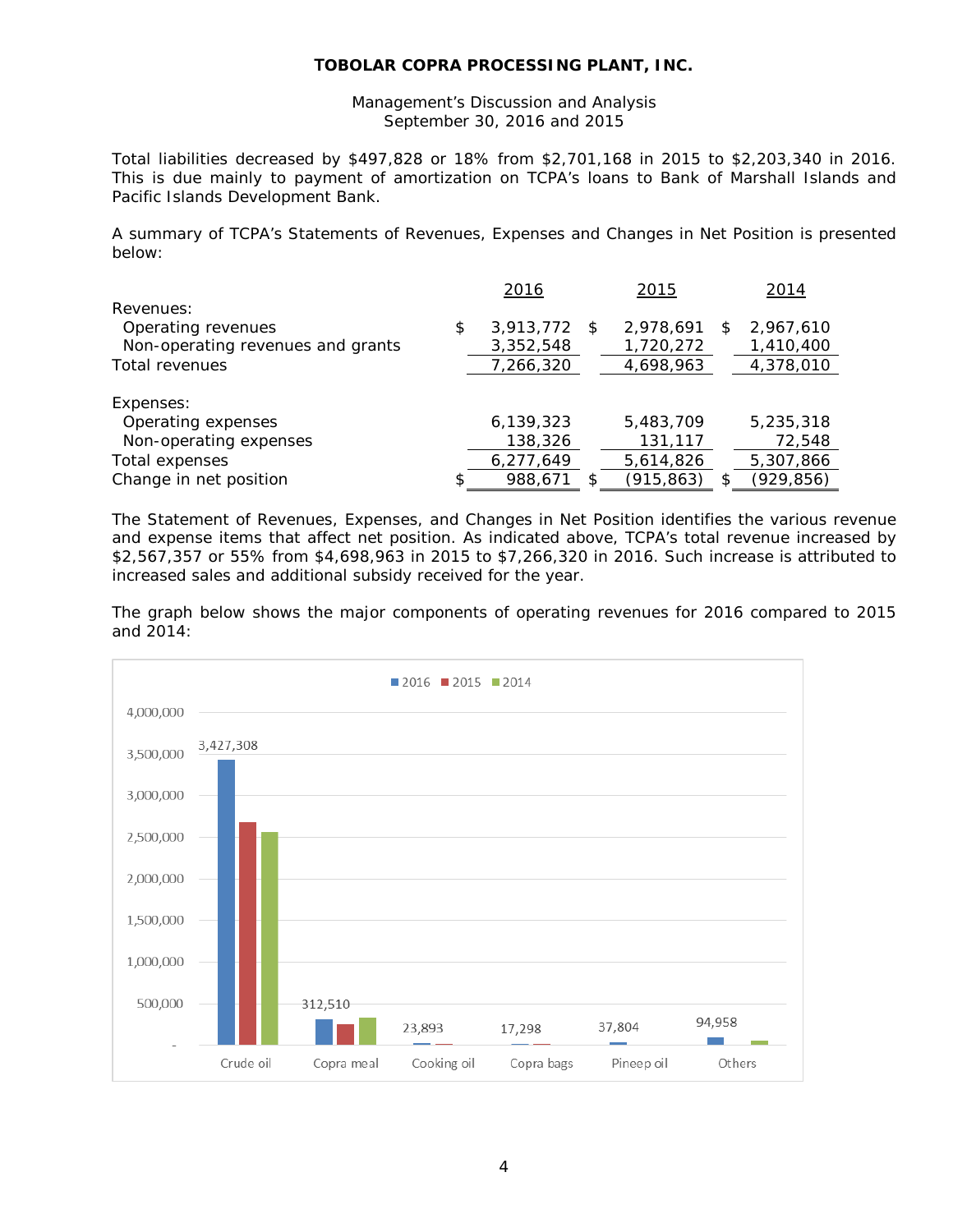# **TOBOLAR COPRA PROCESSING PLANT, INC.**

Management's Discussion and Analysis September 30, 2016 and 2015

Total liabilities decreased by \$497,828 or 18% from \$2,701,168 in 2015 to \$2,203,340 in 2016. This is due mainly to payment of amortization on TCPA's loans to Bank of Marshall Islands and Pacific Islands Development Bank.

A summary of TCPA's Statements of Revenues, Expenses and Changes in Net Position is presented below:

|                                   | 2016               | 2015       |     | 2014       |
|-----------------------------------|--------------------|------------|-----|------------|
| Revenues:                         |                    |            |     |            |
| Operating revenues                | \$<br>3,913,772 \$ | 2,978,691  | S   | 2,967,610  |
| Non-operating revenues and grants | 3,352,548          | 1,720,272  |     | 1,410,400  |
| Total revenues                    | 7,266,320          | 4,698,963  |     | 4,378,010  |
| Expenses:                         |                    |            |     |            |
| Operating expenses                | 6,139,323          | 5,483,709  |     | 5,235,318  |
| Non-operating expenses            | 138,326            | 131,117    |     | 72,548     |
| Total expenses                    | 6,277,649          | 5,614,826  |     | 5,307,866  |
| Change in net position            | \$<br>988.671      | (915, 863) | \$. | (929, 856) |

The Statement of Revenues, Expenses, and Changes in Net Position identifies the various revenue and expense items that affect net position. As indicated above, TCPA's total revenue increased by \$2,567,357 or 55% from \$4,698,963 in 2015 to \$7,266,320 in 2016. Such increase is attributed to increased sales and additional subsidy received for the year.

The graph below shows the major components of operating revenues for 2016 compared to 2015 and 2014:

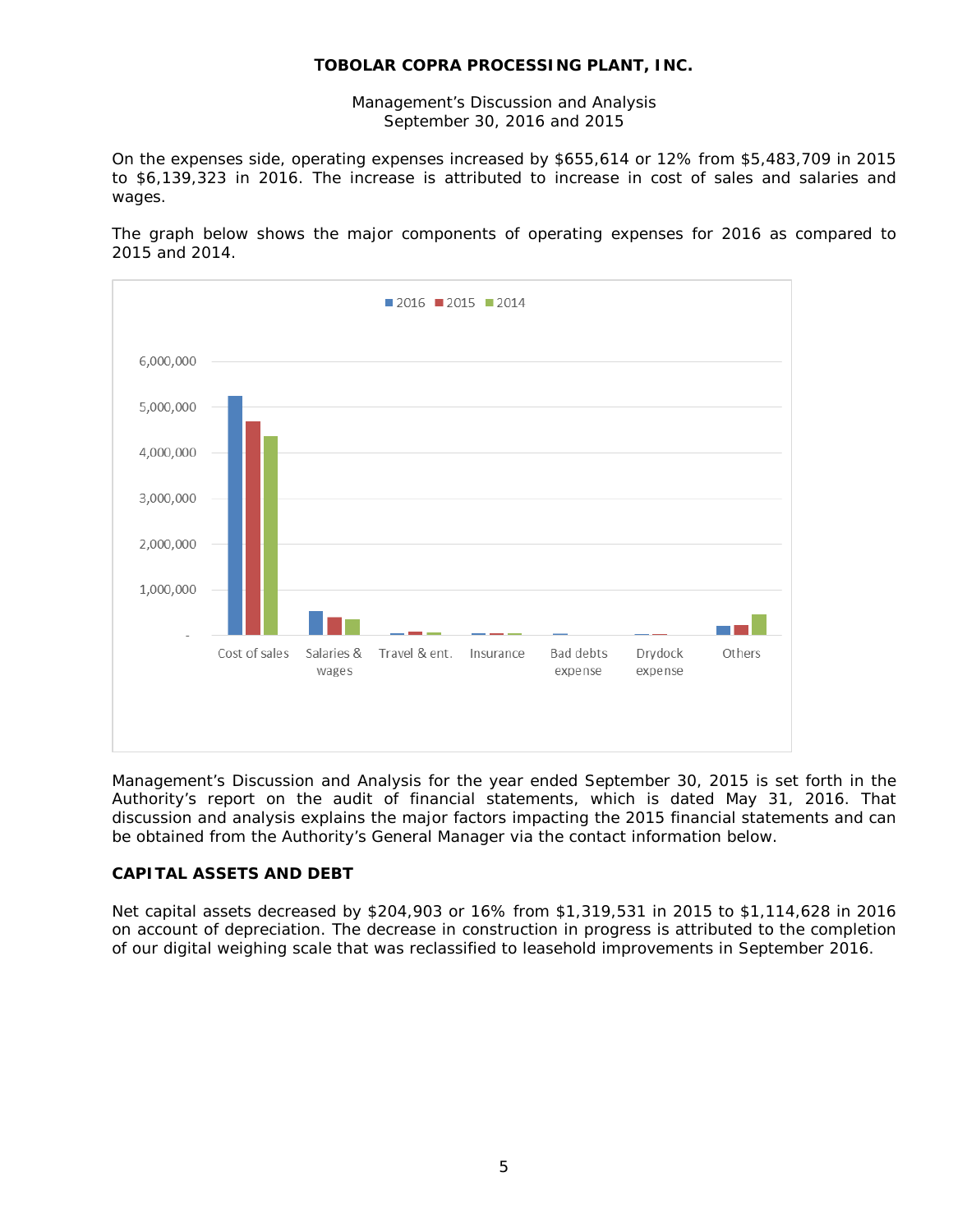# **TOBOLAR COPRA PROCESSING PLANT, INC.**

Management's Discussion and Analysis September 30, 2016 and 2015

On the expenses side, operating expenses increased by \$655,614 or 12% from \$5,483,709 in 2015 to \$6,139,323 in 2016. The increase is attributed to increase in cost of sales and salaries and wages.

The graph below shows the major components of operating expenses for 2016 as compared to 2015 and 2014.



Management's Discussion and Analysis for the year ended September 30, 2015 is set forth in the Authority's report on the audit of financial statements, which is dated May 31, 2016. That discussion and analysis explains the major factors impacting the 2015 financial statements and can be obtained from the Authority's General Manager via the contact information below.

# **CAPITAL ASSETS AND DEBT**

Net capital assets decreased by \$204,903 or 16% from \$1,319,531 in 2015 to \$1,114,628 in 2016 on account of depreciation. The decrease in construction in progress is attributed to the completion of our digital weighing scale that was reclassified to leasehold improvements in September 2016.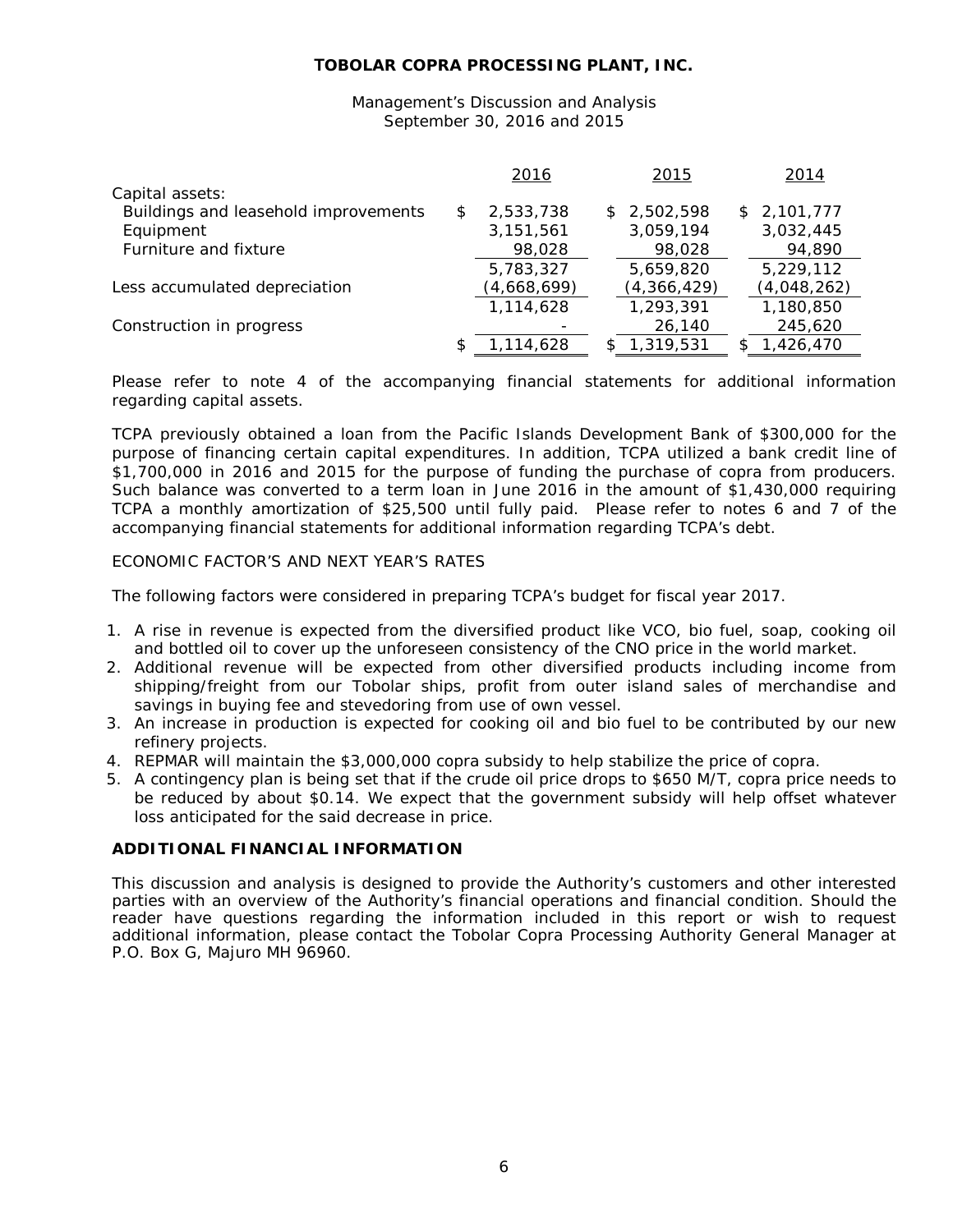# **TOBOLAR COPRA PROCESSING PLANT, INC.**

Management's Discussion and Analysis September 30, 2016 and 2015

|                                      |   | 2016        | 2015        | 2014        |
|--------------------------------------|---|-------------|-------------|-------------|
| Capital assets:                      |   |             |             |             |
| Buildings and leasehold improvements | S | 2,533,738   | \$2,502,598 | \$2,101,777 |
| Equipment                            |   | 3,151,561   | 3,059,194   | 3,032,445   |
| Furniture and fixture                |   | 98,028      | 98,028      | 94,890      |
|                                      |   | 5,783,327   | 5,659,820   | 5,229,112   |
| Less accumulated depreciation        |   | (4,668,699) | (4,366,429) | (4,048,262) |
|                                      |   | 1,114,628   | 1,293,391   | 1,180,850   |
| Construction in progress             |   |             | 26,140      | 245,620     |
|                                      |   | 1,114,628   | 1,319,531   | 1,426,470   |

Please refer to note 4 of the accompanying financial statements for additional information regarding capital assets.

TCPA previously obtained a loan from the Pacific Islands Development Bank of \$300,000 for the purpose of financing certain capital expenditures. In addition, TCPA utilized a bank credit line of \$1,700,000 in 2016 and 2015 for the purpose of funding the purchase of copra from producers. Such balance was converted to a term loan in June 2016 in the amount of \$1,430,000 requiring TCPA a monthly amortization of \$25,500 until fully paid. Please refer to notes 6 and 7 of the accompanying financial statements for additional information regarding TCPA's debt.

#### ECONOMIC FACTOR'S AND NEXT YEAR'S RATES

The following factors were considered in preparing TCPA's budget for fiscal year 2017.

- 1. A rise in revenue is expected from the diversified product like VCO, bio fuel, soap, cooking oil and bottled oil to cover up the unforeseen consistency of the CNO price in the world market.
- 2. Additional revenue will be expected from other diversified products including income from shipping/freight from our Tobolar ships, profit from outer island sales of merchandise and savings in buying fee and stevedoring from use of own vessel.
- 3. An increase in production is expected for cooking oil and bio fuel to be contributed by our new refinery projects.
- 4. REPMAR will maintain the \$3,000,000 copra subsidy to help stabilize the price of copra.
- 5. A contingency plan is being set that if the crude oil price drops to \$650 M/T, copra price needs to be reduced by about \$0.14. We expect that the government subsidy will help offset whatever loss anticipated for the said decrease in price.

#### **ADDITIONAL FINANCIAL INFORMATION**

This discussion and analysis is designed to provide the Authority's customers and other interested parties with an overview of the Authority's financial operations and financial condition. Should the reader have questions regarding the information included in this report or wish to request additional information, please contact the Tobolar Copra Processing Authority General Manager at P.O. Box G, Majuro MH 96960.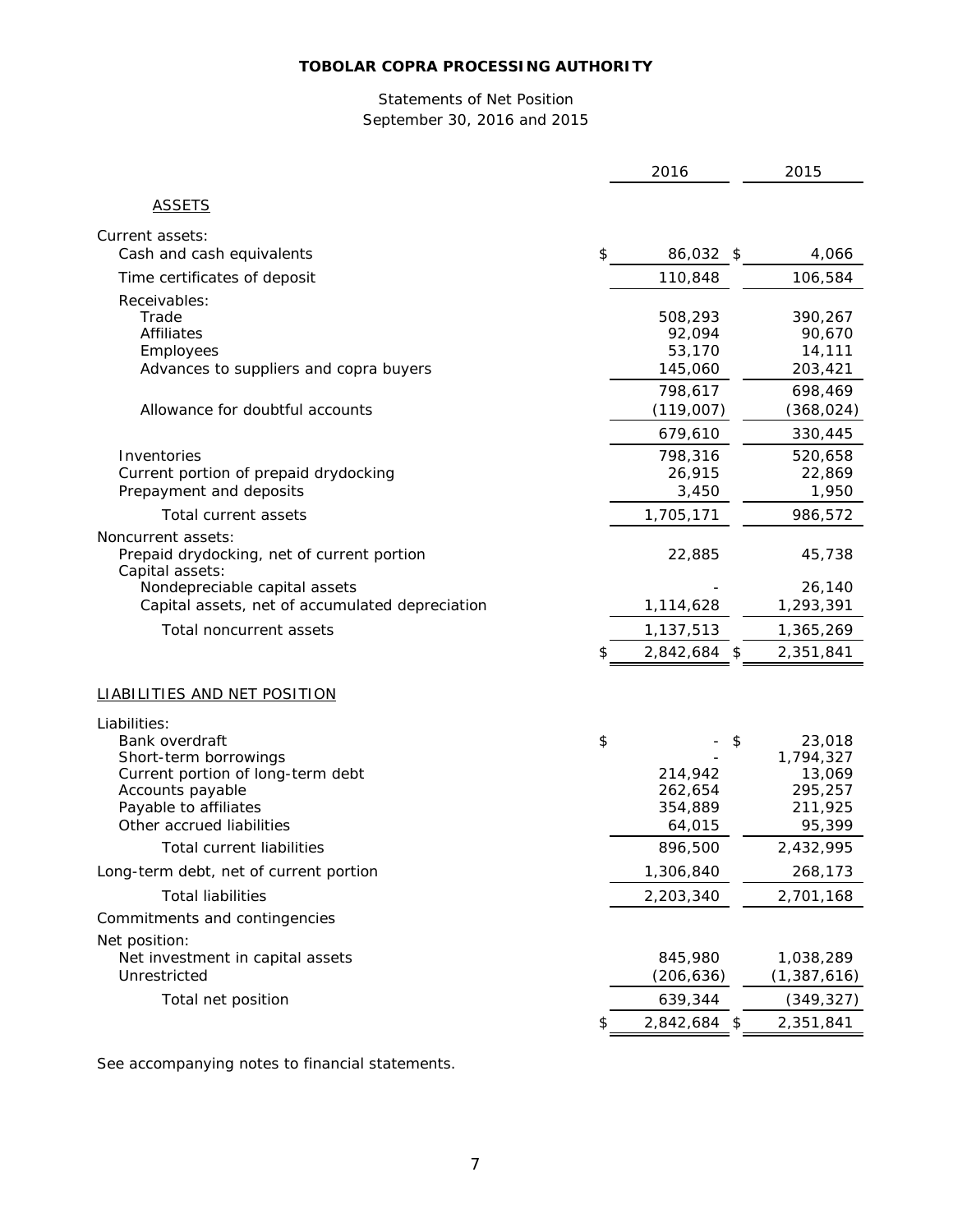# Statements of Net Position September 30, 2016 and 2015

|                                                                                     | 2016                                          | 2015                |
|-------------------------------------------------------------------------------------|-----------------------------------------------|---------------------|
| <u>ASSETS</u>                                                                       |                                               |                     |
| Current assets:                                                                     |                                               |                     |
| Cash and cash equivalents                                                           | \$<br>86,032 \$                               | 4,066               |
| Time certificates of deposit                                                        | 110,848                                       | 106,584             |
| Receivables:                                                                        |                                               |                     |
| Trade                                                                               | 508,293                                       | 390,267             |
| Affiliates<br>Employees                                                             | 92,094<br>53,170                              | 90,670<br>14,111    |
| Advances to suppliers and copra buyers                                              | 145,060                                       | 203,421             |
|                                                                                     | 798,617                                       | 698,469             |
| Allowance for doubtful accounts                                                     | (119,007)                                     | (368, 024)          |
|                                                                                     | 679,610                                       | 330,445             |
| Inventories                                                                         | 798,316                                       | 520,658             |
| Current portion of prepaid drydocking                                               | 26,915                                        | 22,869              |
| Prepayment and deposits                                                             | 3,450                                         | 1,950               |
| Total current assets                                                                | 1,705,171                                     | 986,572             |
| Noncurrent assets:<br>Prepaid drydocking, net of current portion<br>Capital assets: | 22,885                                        | 45,738              |
| Nondepreciable capital assets                                                       |                                               | 26,140              |
| Capital assets, net of accumulated depreciation                                     | 1,114,628                                     | 1,293,391           |
| Total noncurrent assets                                                             | 1,137,513                                     | 1,365,269           |
|                                                                                     | 2,842,684<br>\$                               | 2,351,841           |
|                                                                                     |                                               |                     |
| <b>LIABILITIES AND NET POSITION</b>                                                 |                                               |                     |
| Liabilities:                                                                        |                                               |                     |
| Bank overdraft                                                                      | \$<br>\$                                      | 23,018<br>1,794,327 |
| Short-term borrowings<br>Current portion of long-term debt                          | 214,942                                       | 13,069              |
| Accounts payable                                                                    | 262,654                                       | 295,257             |
| Payable to affiliates                                                               | 354,889                                       | 211,925             |
| Other accrued liabilities                                                           | 64,015                                        | 95,399              |
| <b>Total current liabilities</b>                                                    | 896,500                                       | 2,432,995           |
| Long-term debt, net of current portion                                              | 1,306,840                                     | 268,173             |
| <b>Total liabilities</b>                                                            | 2,203,340                                     | 2,701,168           |
| Commitments and contingencies                                                       |                                               |                     |
| Net position:                                                                       |                                               |                     |
| Net investment in capital assets                                                    | 845,980                                       | 1,038,289           |
| Unrestricted                                                                        | (206, 636)                                    | (1, 387, 616)       |
| Total net position                                                                  | 639,344                                       | (349,327)           |
|                                                                                     | \$<br>2,842,684<br>$\boldsymbol{\mathsf{\$}}$ | 2,351,841           |

See accompanying notes to financial statements.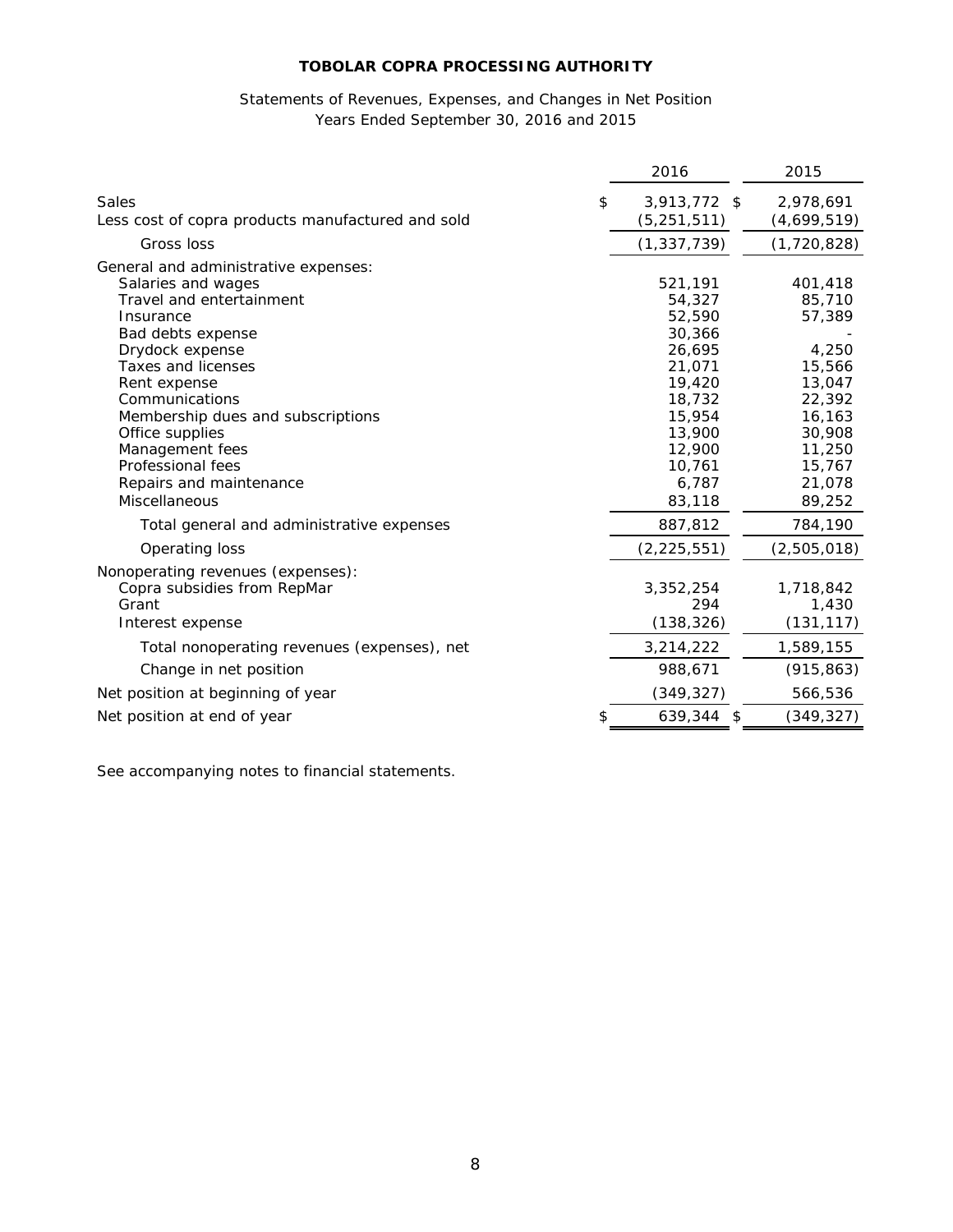# Statements of Revenues, Expenses, and Changes in Net Position Years Ended September 30, 2016 and 2015

|                                                      | 2016               | 2015             |
|------------------------------------------------------|--------------------|------------------|
| Sales                                                | \$<br>3,913,772 \$ | 2,978,691        |
| Less cost of copra products manufactured and sold    | (5, 251, 511)      | (4,699,519)      |
| Gross loss                                           | (1, 337, 739)      | (1,720,828)      |
| General and administrative expenses:                 |                    |                  |
| Salaries and wages                                   | 521,191            | 401,418          |
| Travel and entertainment                             | 54,327             | 85,710           |
| Insurance                                            | 52,590             | 57,389           |
| Bad debts expense                                    | 30,366             |                  |
| Drydock expense                                      | 26,695             | 4,250            |
| Taxes and licenses                                   | 21,071             | 15,566           |
| Rent expense                                         | 19,420             | 13,047           |
| Communications                                       | 18,732             | 22,392           |
| Membership dues and subscriptions<br>Office supplies | 15,954<br>13,900   | 16,163<br>30,908 |
| Management fees                                      | 12,900             | 11,250           |
| Professional fees                                    | 10,761             | 15,767           |
| Repairs and maintenance                              | 6,787              | 21,078           |
| Miscellaneous                                        | 83,118             | 89,252           |
| Total general and administrative expenses            | 887,812            | 784,190          |
| Operating loss                                       | (2, 225, 551)      | (2,505,018)      |
| Nonoperating revenues (expenses):                    |                    |                  |
| Copra subsidies from RepMar                          | 3,352,254          | 1,718,842        |
| Grant                                                | 294                | 1,430            |
| Interest expense                                     | (138, 326)         | (131, 117)       |
| Total nonoperating revenues (expenses), net          | 3,214,222          | 1,589,155        |
| Change in net position                               | 988,671            | (915, 863)       |
| Net position at beginning of year                    | (349, 327)         | 566,536          |
| Net position at end of year                          | 639,344 \$         | (349, 327)       |

See accompanying notes to financial statements.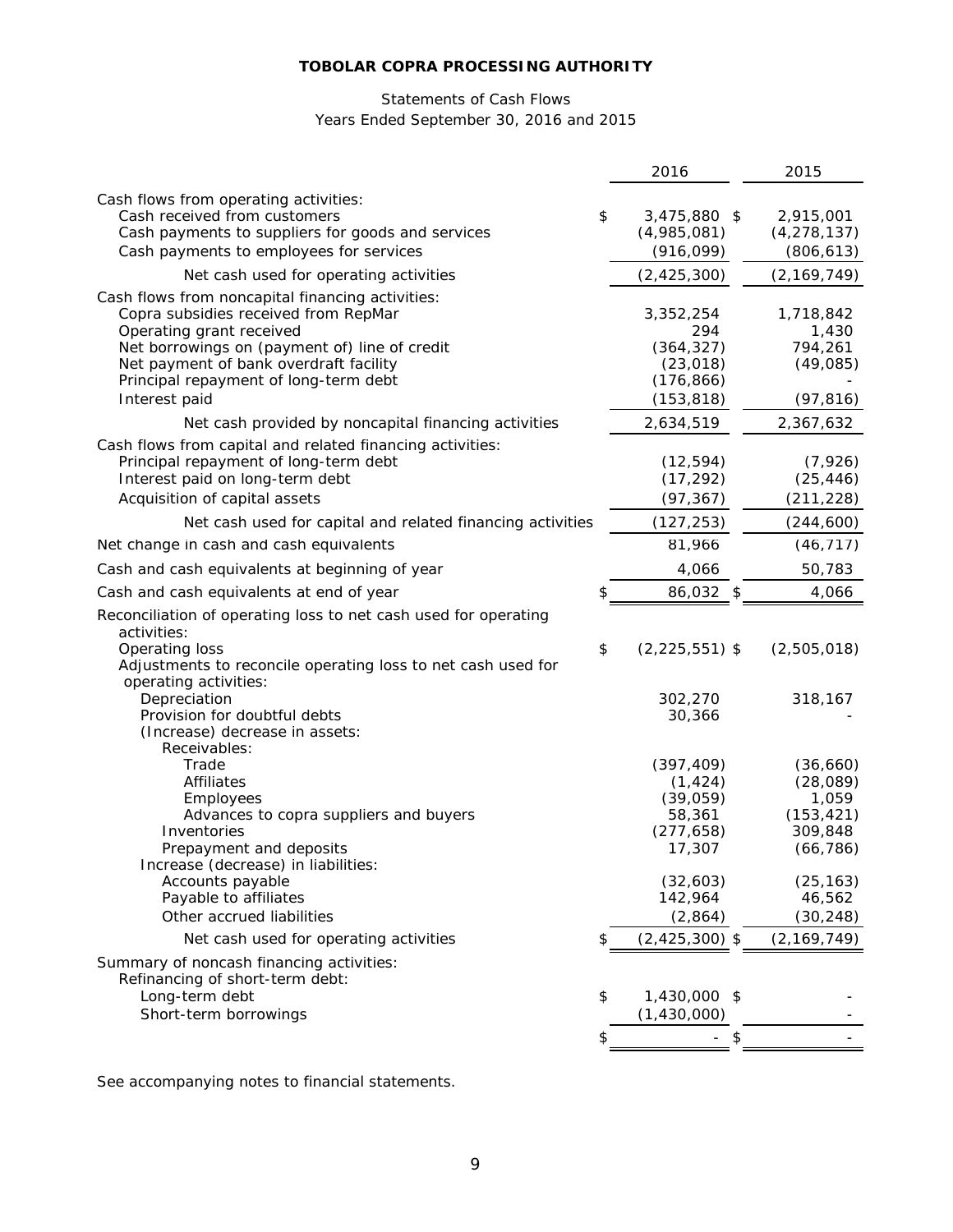# Statements of Cash Flows Years Ended September 30, 2016 and 2015

|                                                                                                                                                                        |      | 2016                                                                 | 2015                                                                 |
|------------------------------------------------------------------------------------------------------------------------------------------------------------------------|------|----------------------------------------------------------------------|----------------------------------------------------------------------|
| Cash flows from operating activities:<br>Cash received from customers<br>Cash payments to suppliers for goods and services<br>Cash payments to employees for services  | \$   | 3,475,880 \$<br>(4,985,081)<br>(916, 099)                            | 2,915,001<br>(4, 278, 137)<br>(806, 613)                             |
| Net cash used for operating activities                                                                                                                                 |      | (2, 425, 300)                                                        | (2, 169, 749)                                                        |
| Cash flows from noncapital financing activities:<br>Copra subsidies received from RepMar<br>Operating grant received                                                   |      | 3,352,254<br>294                                                     | 1,718,842<br>1,430                                                   |
| Net borrowings on (payment of) line of credit<br>Net payment of bank overdraft facility<br>Principal repayment of long-term debt<br>Interest paid                      |      | (364, 327)<br>(23, 018)<br>(176, 866)<br>(153, 818)                  | 794,261<br>(49,085)<br>(97, 816)                                     |
| Net cash provided by noncapital financing activities                                                                                                                   |      | 2,634,519                                                            | 2,367,632                                                            |
| Cash flows from capital and related financing activities:<br>Principal repayment of long-term debt<br>Interest paid on long-term debt<br>Acquisition of capital assets |      | (12, 594)<br>(17, 292)<br>(97, 367)                                  | (7, 926)<br>(25, 446)<br>(211, 228)                                  |
| Net cash used for capital and related financing activities                                                                                                             |      | (127, 253)                                                           | (244, 600)                                                           |
| Net change in cash and cash equivalents                                                                                                                                |      | 81,966                                                               | (46, 717)                                                            |
| Cash and cash equivalents at beginning of year                                                                                                                         |      | 4,066                                                                | 50,783                                                               |
| Cash and cash equivalents at end of year                                                                                                                               | \$   | 86,032 \$                                                            | 4,066                                                                |
| Reconciliation of operating loss to net cash used for operating<br>activities:<br>Operating loss<br>Adjustments to reconcile operating loss to net cash used for       | \$   | $(2, 225, 551)$ \$                                                   | (2,505,018)                                                          |
| operating activities:<br>Depreciation<br>Provision for doubtful debts<br>(Increase) decrease in assets:<br>Receivables:                                                |      | 302,270<br>30,366                                                    | 318,167                                                              |
| Trade<br><b>Affiliates</b><br>Employees<br>Advances to copra suppliers and buyers<br>Inventories<br>Prepayment and deposits<br>Increase (decrease) in liabilities:     |      | (397, 409)<br>(1, 424)<br>(39,059)<br>58,361<br>(277, 658)<br>17,307 | (36, 660)<br>(28,089)<br>1,059<br>(153, 421)<br>309,848<br>(66, 786) |
| Accounts payable<br>Payable to affiliates<br>Other accrued liabilities                                                                                                 |      | (32,603)<br>142,964<br>(2,864)                                       | (25, 163)<br>46,562<br>(30, 248)                                     |
| Net cash used for operating activities                                                                                                                                 |      | $(2, 425, 300)$ \$                                                   | (2, 169, 749)                                                        |
| Summary of noncash financing activities:<br>Refinancing of short-term debt:<br>Long-term debt                                                                          | $\,$ | 1,430,000 \$                                                         |                                                                      |
| Short-term borrowings                                                                                                                                                  |      | (1, 430, 000)                                                        |                                                                      |
|                                                                                                                                                                        | \$   | \$                                                                   |                                                                      |

See accompanying notes to financial statements.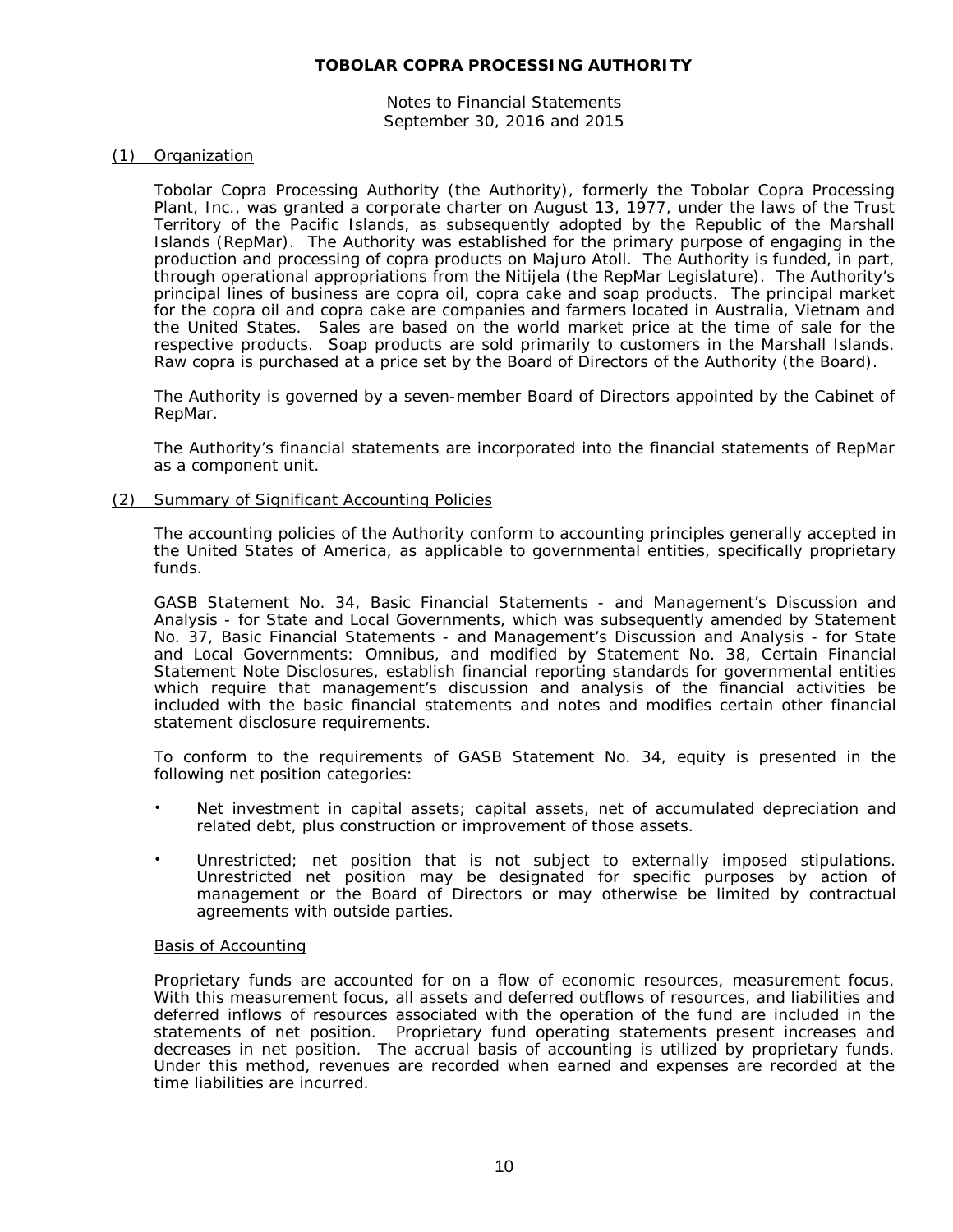Notes to Financial Statements September 30, 2016 and 2015

#### (1) Organization

Tobolar Copra Processing Authority (the Authority), formerly the Tobolar Copra Processing Plant, Inc., was granted a corporate charter on August 13, 1977, under the laws of the Trust Territory of the Pacific Islands, as subsequently adopted by the Republic of the Marshall Islands (RepMar). The Authority was established for the primary purpose of engaging in the production and processing of copra products on Majuro Atoll. The Authority is funded, in part, through operational appropriations from the Nitijela (the RepMar Legislature). The Authority's principal lines of business are copra oil, copra cake and soap products. The principal market for the copra oil and copra cake are companies and farmers located in Australia, Vietnam and the United States. Sales are based on the world market price at the time of sale for the respective products. Soap products are sold primarily to customers in the Marshall Islands. Raw copra is purchased at a price set by the Board of Directors of the Authority (the Board).

The Authority is governed by a seven-member Board of Directors appointed by the Cabinet of RepMar.

The Authority's financial statements are incorporated into the financial statements of RepMar as a component unit.

(2) Summary of Significant Accounting Policies

The accounting policies of the Authority conform to accounting principles generally accepted in the United States of America, as applicable to governmental entities, specifically proprietary funds.

GASB Statement No. 34, *Basic Financial Statements - and Management's Discussion and Analysis - for State and Local Governments*, which was subsequently amended by Statement No. 37, *Basic Financial Statements - and Management's Discussion and Analysis - for State and Local Governments: Omnibus*, and modified by Statement No. 38, *Certain Financial Statement Note Disclosures*, establish financial reporting standards for governmental entities which require that management's discussion and analysis of the financial activities be included with the basic financial statements and notes and modifies certain other financial statement disclosure requirements.

To conform to the requirements of GASB Statement No. 34, equity is presented in the following net position categories:

- Net investment in capital assets; capital assets, net of accumulated depreciation and related debt, plus construction or improvement of those assets.
- Unrestricted; net position that is not subject to externally imposed stipulations. Unrestricted net position may be designated for specific purposes by action of management or the Board of Directors or may otherwise be limited by contractual agreements with outside parties.

# Basis of Accounting

Proprietary funds are accounted for on a flow of economic resources, measurement focus. With this measurement focus, all assets and deferred outflows of resources, and liabilities and deferred inflows of resources associated with the operation of the fund are included in the statements of net position. Proprietary fund operating statements present increases and decreases in net position. The accrual basis of accounting is utilized by proprietary funds. Under this method, revenues are recorded when earned and expenses are recorded at the time liabilities are incurred.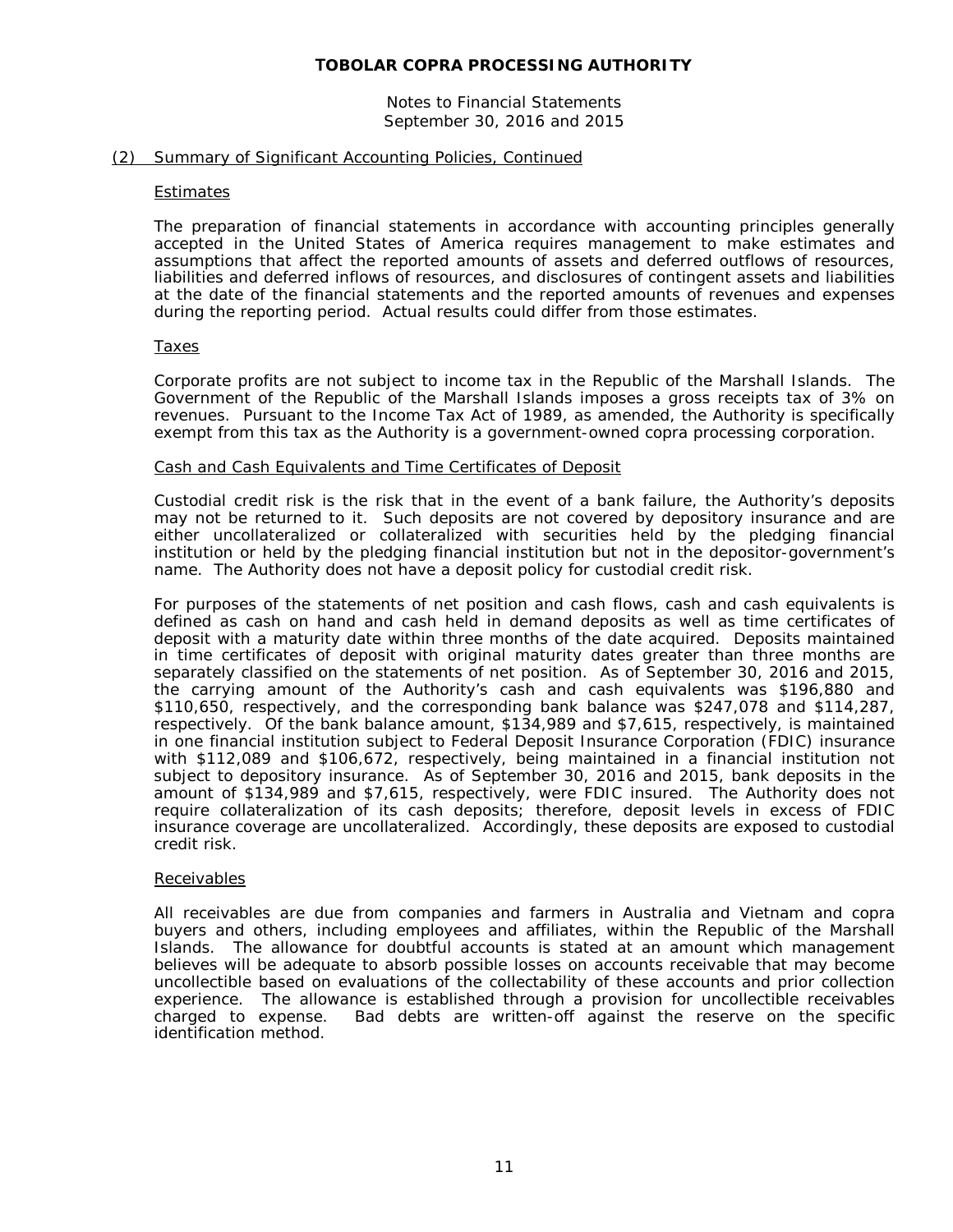Notes to Financial Statements September 30, 2016 and 2015

#### (2) Summary of Significant Accounting Policies, Continued

#### Estimates

The preparation of financial statements in accordance with accounting principles generally accepted in the United States of America requires management to make estimates and assumptions that affect the reported amounts of assets and deferred outflows of resources, liabilities and deferred inflows of resources, and disclosures of contingent assets and liabilities at the date of the financial statements and the reported amounts of revenues and expenses during the reporting period. Actual results could differ from those estimates.

#### Taxes

Corporate profits are not subject to income tax in the Republic of the Marshall Islands. The Government of the Republic of the Marshall Islands imposes a gross receipts tax of 3% on revenues. Pursuant to the Income Tax Act of 1989, as amended, the Authority is specifically exempt from this tax as the Authority is a government-owned copra processing corporation.

#### Cash and Cash Equivalents and Time Certificates of Deposit

Custodial credit risk is the risk that in the event of a bank failure, the Authority's deposits may not be returned to it. Such deposits are not covered by depository insurance and are either uncollateralized or collateralized with securities held by the pledging financial institution or held by the pledging financial institution but not in the depositor-government's name. The Authority does not have a deposit policy for custodial credit risk.

For purposes of the statements of net position and cash flows, cash and cash equivalents is defined as cash on hand and cash held in demand deposits as well as time certificates of deposit with a maturity date within three months of the date acquired. Deposits maintained in time certificates of deposit with original maturity dates greater than three months are separately classified on the statements of net position. As of September 30, 2016 and 2015, the carrying amount of the Authority's cash and cash equivalents was \$196,880 and \$110,650, respectively, and the corresponding bank balance was \$247,078 and \$114,287, respectively. Of the bank balance amount, \$134,989 and \$7,615, respectively, is maintained in one financial institution subject to Federal Deposit Insurance Corporation (FDIC) insurance with \$112,089 and \$106,672, respectively, being maintained in a financial institution not subject to depository insurance. As of September 30, 2016 and 2015, bank deposits in the amount of \$134,989 and \$7,615, respectively, were FDIC insured. The Authority does not require collateralization of its cash deposits; therefore, deposit levels in excess of FDIC insurance coverage are uncollateralized. Accordingly, these deposits are exposed to custodial credit risk.

#### Receivables

All receivables are due from companies and farmers in Australia and Vietnam and copra buyers and others, including employees and affiliates, within the Republic of the Marshall Islands. The allowance for doubtful accounts is stated at an amount which management believes will be adequate to absorb possible losses on accounts receivable that may become uncollectible based on evaluations of the collectability of these accounts and prior collection experience. The allowance is established through a provision for uncollectible receivables charged to expense. Bad debts are written-off against the reserve on the specific Bad debts are written-off against the reserve on the specific identification method.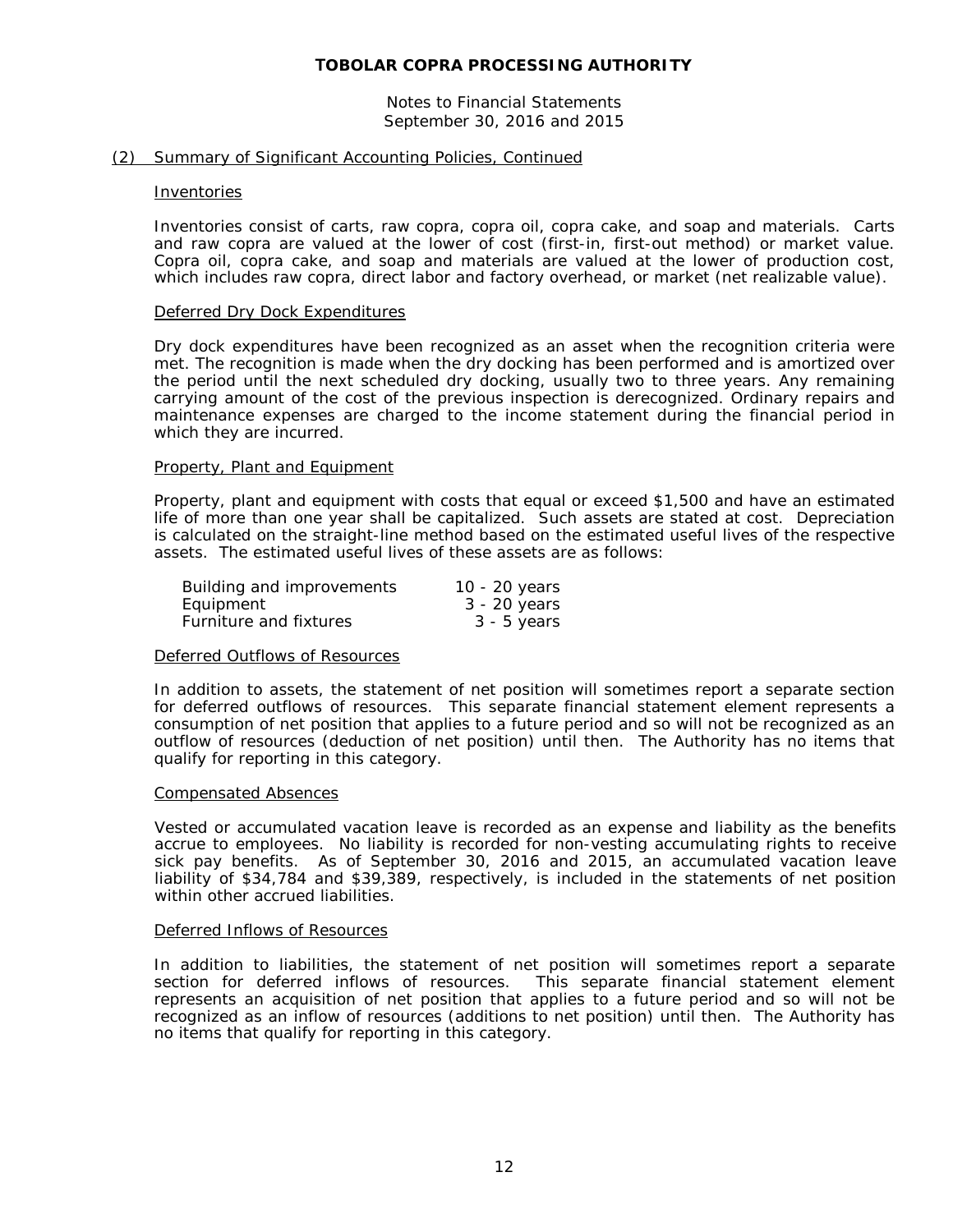Notes to Financial Statements September 30, 2016 and 2015

#### (2) Summary of Significant Accounting Policies, Continued

#### Inventories

Inventories consist of carts, raw copra, copra oil, copra cake, and soap and materials. Carts and raw copra are valued at the lower of cost (first-in, first-out method) or market value. Copra oil, copra cake, and soap and materials are valued at the lower of production cost, which includes raw copra, direct labor and factory overhead, or market (net realizable value).

#### Deferred Dry Dock Expenditures

Dry dock expenditures have been recognized as an asset when the recognition criteria were met. The recognition is made when the dry docking has been performed and is amortized over the period until the next scheduled dry docking, usually two to three years. Any remaining carrying amount of the cost of the previous inspection is derecognized. Ordinary repairs and maintenance expenses are charged to the income statement during the financial period in which they are incurred.

#### Property, Plant and Equipment

Property, plant and equipment with costs that equal or exceed \$1,500 and have an estimated life of more than one year shall be capitalized. Such assets are stated at cost. Depreciation is calculated on the straight-line method based on the estimated useful lives of the respective assets. The estimated useful lives of these assets are as follows:

| Building and improvements | 10 - 20 years |
|---------------------------|---------------|
| Equipment                 | 3 - 20 years  |
| Furniture and fixtures    | 3 - 5 years   |

#### Deferred Outflows of Resources

In addition to assets, the statement of net position will sometimes report a separate section for deferred outflows of resources. This separate financial statement element represents a consumption of net position that applies to a future period and so will not be recognized as an outflow of resources (deduction of net position) until then. The Authority has no items that qualify for reporting in this category.

#### Compensated Absences

Vested or accumulated vacation leave is recorded as an expense and liability as the benefits accrue to employees. No liability is recorded for non-vesting accumulating rights to receive sick pay benefits. As of September 30, 2016 and 2015, an accumulated vacation leave liability of \$34,784 and \$39,389, respectively, is included in the statements of net position within other accrued liabilities.

#### Deferred Inflows of Resources

In addition to liabilities, the statement of net position will sometimes report a separate section for deferred inflows of resources. This separate financial statement element represents an acquisition of net position that applies to a future period and so will not be recognized as an inflow of resources (additions to net position) until then. The Authority has no items that qualify for reporting in this category.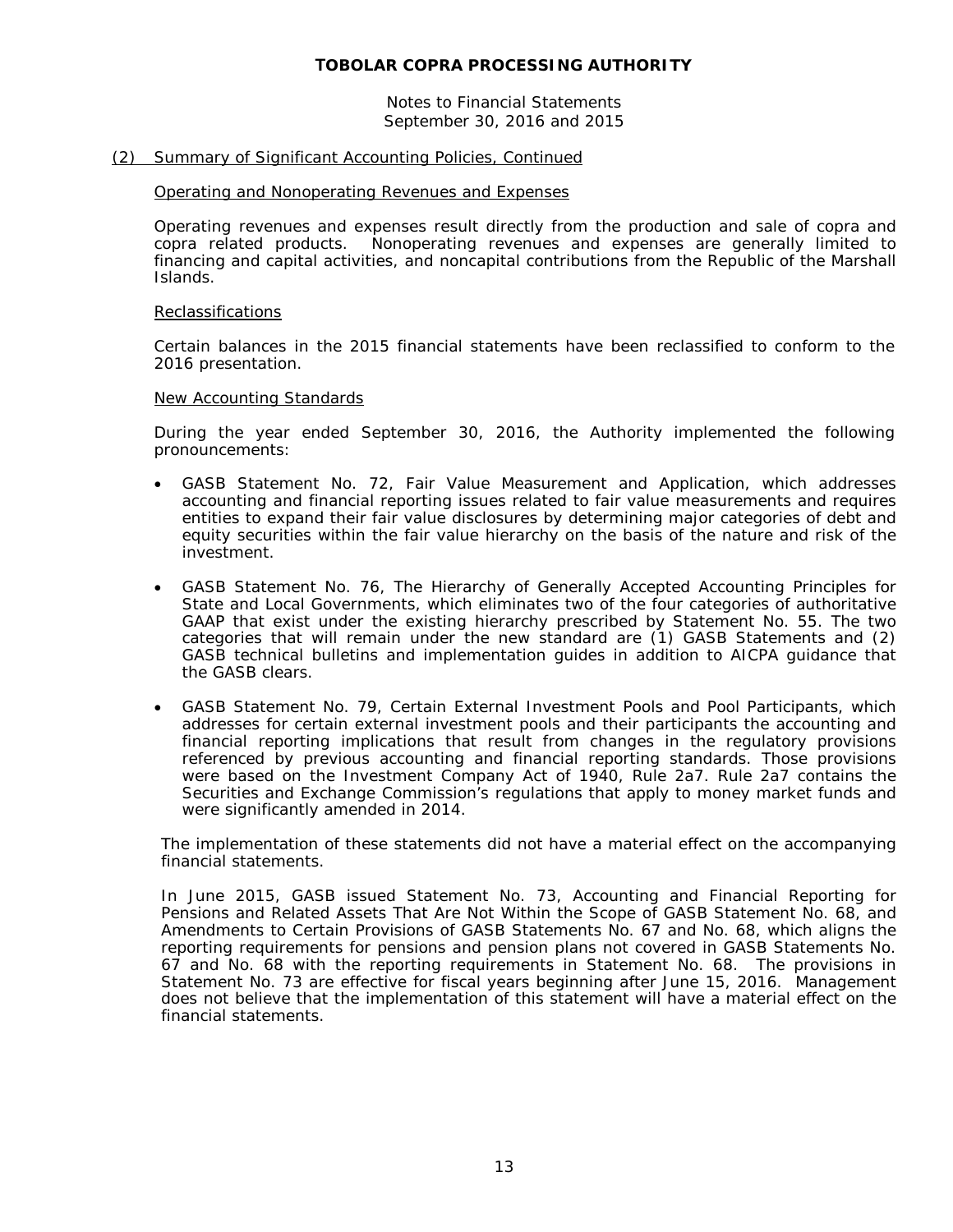Notes to Financial Statements September 30, 2016 and 2015

#### (2) Summary of Significant Accounting Policies, Continued

#### Operating and Nonoperating Revenues and Expenses

Operating revenues and expenses result directly from the production and sale of copra and copra related products. Nonoperating revenues and expenses are generally limited to financing and capital activities, and noncapital contributions from the Republic of the Marshall Islands.

#### Reclassifications

Certain balances in the 2015 financial statements have been reclassified to conform to the 2016 presentation.

#### New Accounting Standards

During the year ended September 30, 2016, the Authority implemented the following pronouncements:

- GASB Statement No. 72, *Fair Value Measurement and Application,* which addresses accounting and financial reporting issues related to fair value measurements and requires entities to expand their fair value disclosures by determining major categories of debt and equity securities within the fair value hierarchy on the basis of the nature and risk of the investment.
- GASB Statement No. 76, *The Hierarchy of Generally Accepted Accounting Principles for State and Local Governments*, which eliminates two of the four categories of authoritative GAAP that exist under the existing hierarchy prescribed by Statement No. 55. The two categories that will remain under the new standard are (1) GASB Statements and (2) GASB technical bulletins and implementation guides in addition to AICPA guidance that the GASB clears.
- GASB Statement No. 79, *Certain External Investment Pools and Pool Participants*, which addresses for certain external investment pools and their participants the accounting and financial reporting implications that result from changes in the regulatory provisions referenced by previous accounting and financial reporting standards. Those provisions were based on the Investment Company Act of 1940, Rule 2a7. Rule 2a7 contains the Securities and Exchange Commission's regulations that apply to money market funds and were significantly amended in 2014.

The implementation of these statements did not have a material effect on the accompanying financial statements.

In June 2015, GASB issued Statement No. 73, *Accounting and Financial Reporting for Pensions and Related Assets That Are Not Within the Scope of GASB Statement No. 68, and Amendments to Certain Provisions of GASB Statements No. 67 and No. 68*, which aligns the reporting requirements for pensions and pension plans not covered in GASB Statements No. 67 and No. 68 with the reporting requirements in Statement No. 68. The provisions in Statement No. 73 are effective for fiscal years beginning after June 15, 2016. Management does not believe that the implementation of this statement will have a material effect on the financial statements.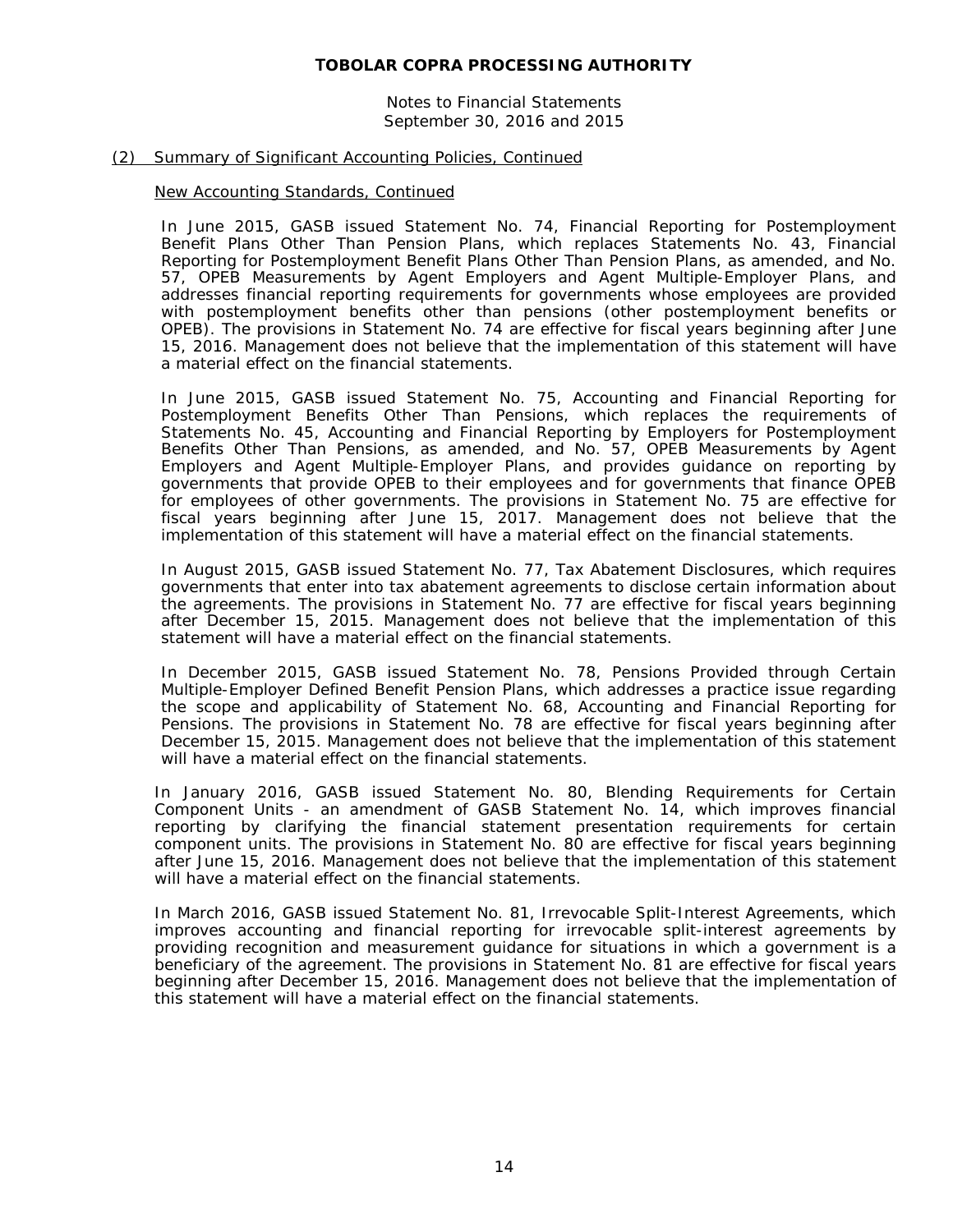Notes to Financial Statements September 30, 2016 and 2015

#### (2) Summary of Significant Accounting Policies, Continued

#### New Accounting Standards, Continued

In June 2015, GASB issued Statement No. 74, *Financial Reporting for Postemployment Benefit Plans Other Than Pension Plans*, which replaces Statements No. 43, *Financial Reporting for Postemployment Benefit Plans Other Than Pension Plans*, as amended, and No. 57, *OPEB Measurements by Agent Employers and Agent Multiple-Employer Plans*, and addresses financial reporting requirements for governments whose employees are provided with postemployment benefits other than pensions (other postemployment benefits or OPEB). The provisions in Statement No. 74 are effective for fiscal years beginning after June 15, 2016. Management does not believe that the implementation of this statement will have a material effect on the financial statements.

In June 2015, GASB issued Statement No. 75, *Accounting and Financial Reporting for Postemployment Benefits Other Than Pensions*, which replaces the requirements of Statements No. 45, *Accounting and Financial Reporting by Employers for Postemployment Benefits Other Than Pensions*, as amended, and No. 57, *OPEB Measurements by Agent Employers and Agent Multiple-Employer Plans*, and provides guidance on reporting by governments that provide OPEB to their employees and for governments that finance OPEB for employees of other governments. The provisions in Statement No. 75 are effective for fiscal years beginning after June 15, 2017. Management does not believe that the implementation of this statement will have a material effect on the financial statements.

In August 2015, GASB issued Statement No. 77, *Tax Abatement Disclosures*, which requires governments that enter into tax abatement agreements to disclose certain information about the agreements. The provisions in Statement No. 77 are effective for fiscal years beginning after December 15, 2015. Management does not believe that the implementation of this statement will have a material effect on the financial statements.

In December 2015, GASB issued Statement No. 78, *Pensions Provided through Certain Multiple-Employer Defined Benefit Pension Plans,* which addresses a practice issue regarding the scope and applicability of Statement No. 68, *Accounting and Financial Reporting for Pensions*. The provisions in Statement No. 78 are effective for fiscal years beginning after December 15, 2015. Management does not believe that the implementation of this statement will have a material effect on the financial statements.

In January 2016, GASB issued Statement No. 80, *Blending Requirements for Certain Component Units - an amendment of GASB Statement No. 14,* which improves financial reporting by clarifying the financial statement presentation requirements for certain component units. The provisions in Statement No. 80 are effective for fiscal years beginning after June 15, 2016. Management does not believe that the implementation of this statement will have a material effect on the financial statements.

In March 2016, GASB issued Statement No. 81, *Irrevocable Split-Interest Agreements,* which improves accounting and financial reporting for irrevocable split-interest agreements by providing recognition and measurement guidance for situations in which a government is a beneficiary of the agreement. The provisions in Statement No. 81 are effective for fiscal years beginning after December 15, 2016. Management does not believe that the implementation of this statement will have a material effect on the financial statements.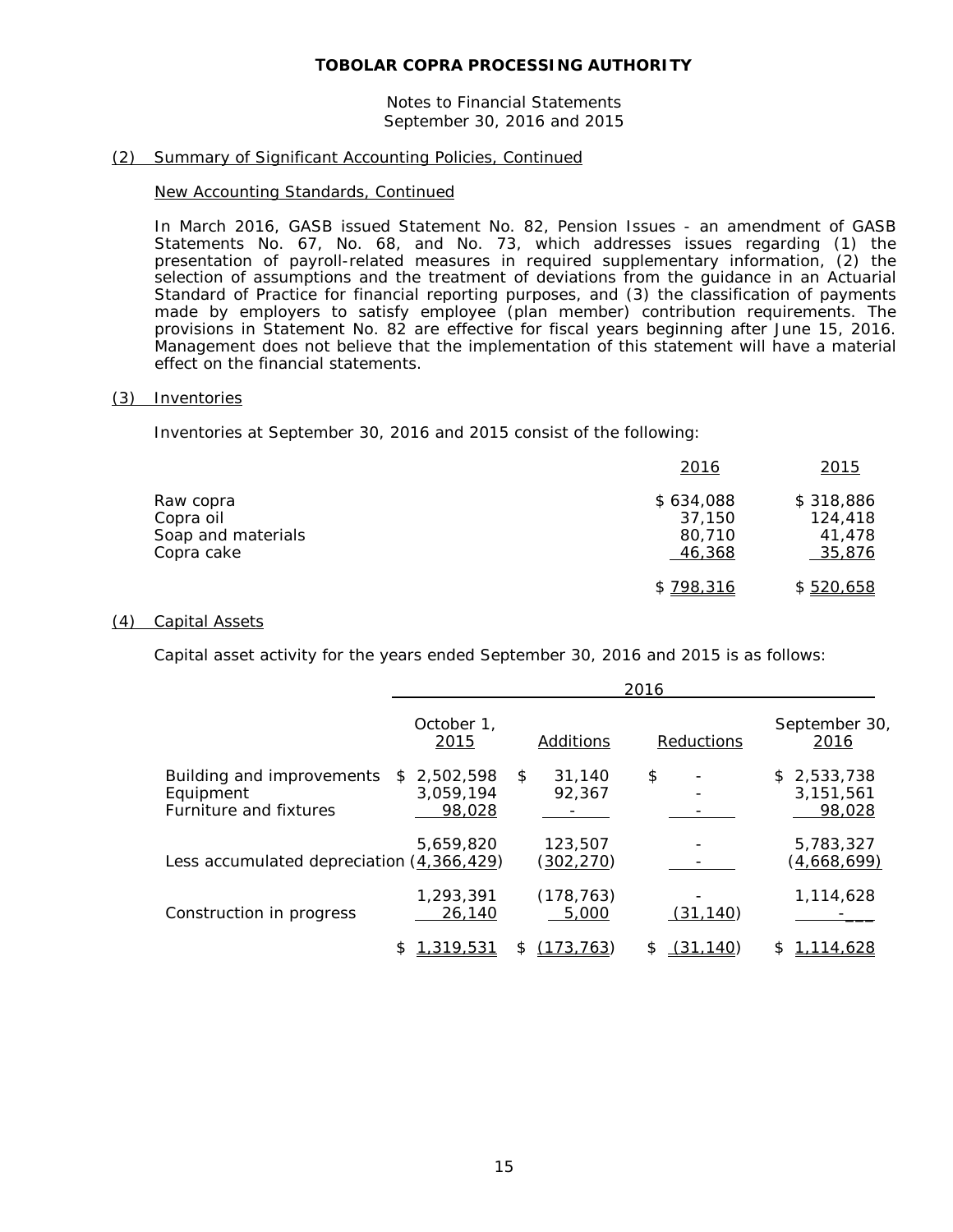#### Notes to Financial Statements September 30, 2016 and 2015

# (2) Summary of Significant Accounting Policies, Continued

#### New Accounting Standards, Continued

In March 2016, GASB issued Statement No. 82, *Pension Issues - an amendment of GASB Statements No. 67, No. 68, and No. 73,* which addresses issues regarding (1) the presentation of payroll-related measures in required supplementary information, (2) the selection of assumptions and the treatment of deviations from the guidance in an Actuarial Standard of Practice for financial reporting purposes, and (3) the classification of payments made by employers to satisfy employee (plan member) contribution requirements. The provisions in Statement No. 82 are effective for fiscal years beginning after June 15, 2016. Management does not believe that the implementation of this statement will have a material effect on the financial statements.

#### (3) Inventories

Inventories at September 30, 2016 and 2015 consist of the following:

|                    | 2016      | 2015      |
|--------------------|-----------|-----------|
| Raw copra          | \$634,088 | \$318,886 |
| Copra oil          | 37.150    | 124,418   |
| Soap and materials | 80,710    | 41,478    |
| Copra cake         | 46,368    | 35,876    |
|                    | \$798,316 | \$520,658 |

#### (4) Capital Assets

Capital asset activity for the years ended September 30, 2016 and 2015 is as follows:

|                                                                  | 2016                                   |                             |               |                                    |  |  |
|------------------------------------------------------------------|----------------------------------------|-----------------------------|---------------|------------------------------------|--|--|
|                                                                  | October 1,<br>2015                     | Additions                   | Reductions    | September 30,<br>2016              |  |  |
| Building and improvements<br>Equipment<br>Furniture and fixtures | 2,502,598<br>S.<br>3.059.194<br>98,028 | 31.140<br>\$<br>92.367      | \$            | \$2,533,738<br>3.151.561<br>98,028 |  |  |
| Less accumulated depreciation $(4,366,429)$                      | 5,659,820                              | 123,507<br><u>(302,270)</u> |               | 5,783,327<br>(4,668,699)           |  |  |
| Construction in progress                                         | 1,293,391<br>26,140                    | (178, 763)<br>5,000         | (31, 140)     | 1,114,628                          |  |  |
|                                                                  | .319.531                               | (173.763)                   | (31.140)<br>S | 114,628                            |  |  |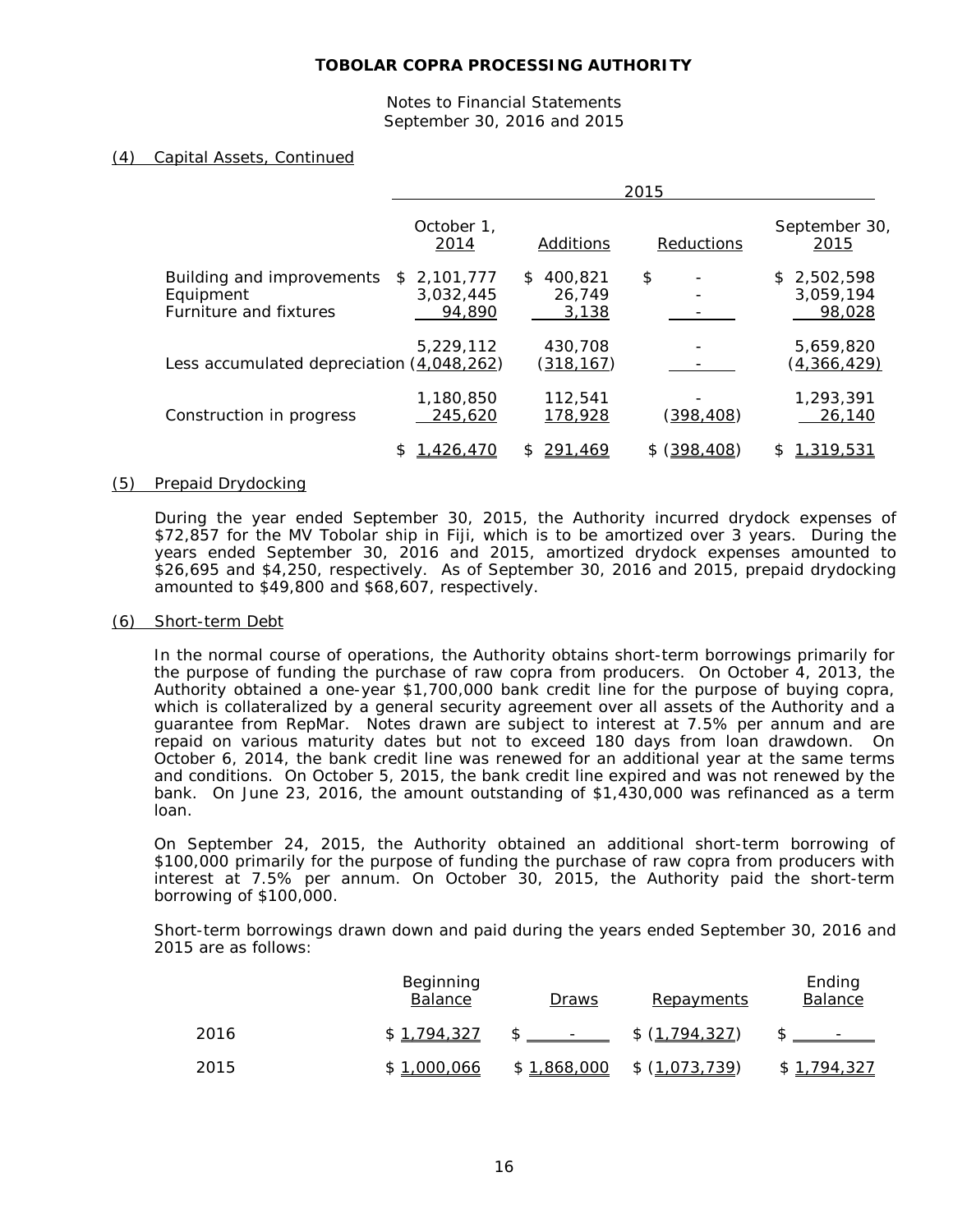Notes to Financial Statements September 30, 2016 and 2015

# (4) Capital Assets, Continued

|                                                                  | 2015                                   |                                   |                  |                                    |  |  |
|------------------------------------------------------------------|----------------------------------------|-----------------------------------|------------------|------------------------------------|--|--|
|                                                                  | October 1.<br>2014                     | Additions                         | Reductions       | September 30,<br>2015              |  |  |
| Building and improvements<br>Equipment<br>Furniture and fixtures | 2.101.777<br>S.<br>3,032,445<br>94,890 | 400.821<br>\$.<br>26.749<br>3,138 | \$               | \$2,502,598<br>3,059,194<br>98,028 |  |  |
| Less accumulated depreciation (4,048,262)                        | 5,229,112                              | 430,708<br>(318, 167)             |                  | 5,659,820<br><u>(4,366,429)</u>    |  |  |
| Construction in progress                                         | 1,180,850<br>245,620                   | 112,541<br>178,928                | (398,408)        | 1,293,391<br>26,140                |  |  |
|                                                                  | 1,426,470                              | <u>291,469</u>                    | <u>(398,408)</u> | <u>1,319,531</u>                   |  |  |

#### (5) Prepaid Drydocking

During the year ended September 30, 2015, the Authority incurred drydock expenses of \$72,857 for the MV Tobolar ship in Fiji, which is to be amortized over 3 years. During the years ended September 30, 2016 and 2015, amortized drydock expenses amounted to \$26,695 and \$4,250, respectively. As of September 30, 2016 and 2015, prepaid drydocking amounted to \$49,800 and \$68,607, respectively.

#### (6) Short-term Debt

In the normal course of operations, the Authority obtains short-term borrowings primarily for the purpose of funding the purchase of raw copra from producers. On October 4, 2013, the Authority obtained a one-year \$1,700,000 bank credit line for the purpose of buying copra, which is collateralized by a general security agreement over all assets of the Authority and a guarantee from RepMar. Notes drawn are subject to interest at 7.5% per annum and are repaid on various maturity dates but not to exceed 180 days from loan drawdown. On October 6, 2014, the bank credit line was renewed for an additional year at the same terms and conditions. On October 5, 2015, the bank credit line expired and was not renewed by the bank. On June 23, 2016, the amount outstanding of \$1,430,000 was refinanced as a term loan.

On September 24, 2015, the Authority obtained an additional short-term borrowing of \$100,000 primarily for the purpose of funding the purchase of raw copra from producers with interest at 7.5% per annum. On October 30, 2015, the Authority paid the short-term borrowing of \$100,000.

Short-term borrowings drawn down and paid during the years ended September 30, 2016 and 2015 are as follows:

|      | Beginning<br><b>Balance</b> | Draws                | <b>Repayments</b> | Ending<br>Balance |
|------|-----------------------------|----------------------|-------------------|-------------------|
| 2016 | \$1.794.327                 | <u>and</u> the state | \$(1.794.327)     | $ -$              |
| 2015 | \$1,000,066                 | \$1,868,000          | \$(1,073,739)     | \$1,794,327       |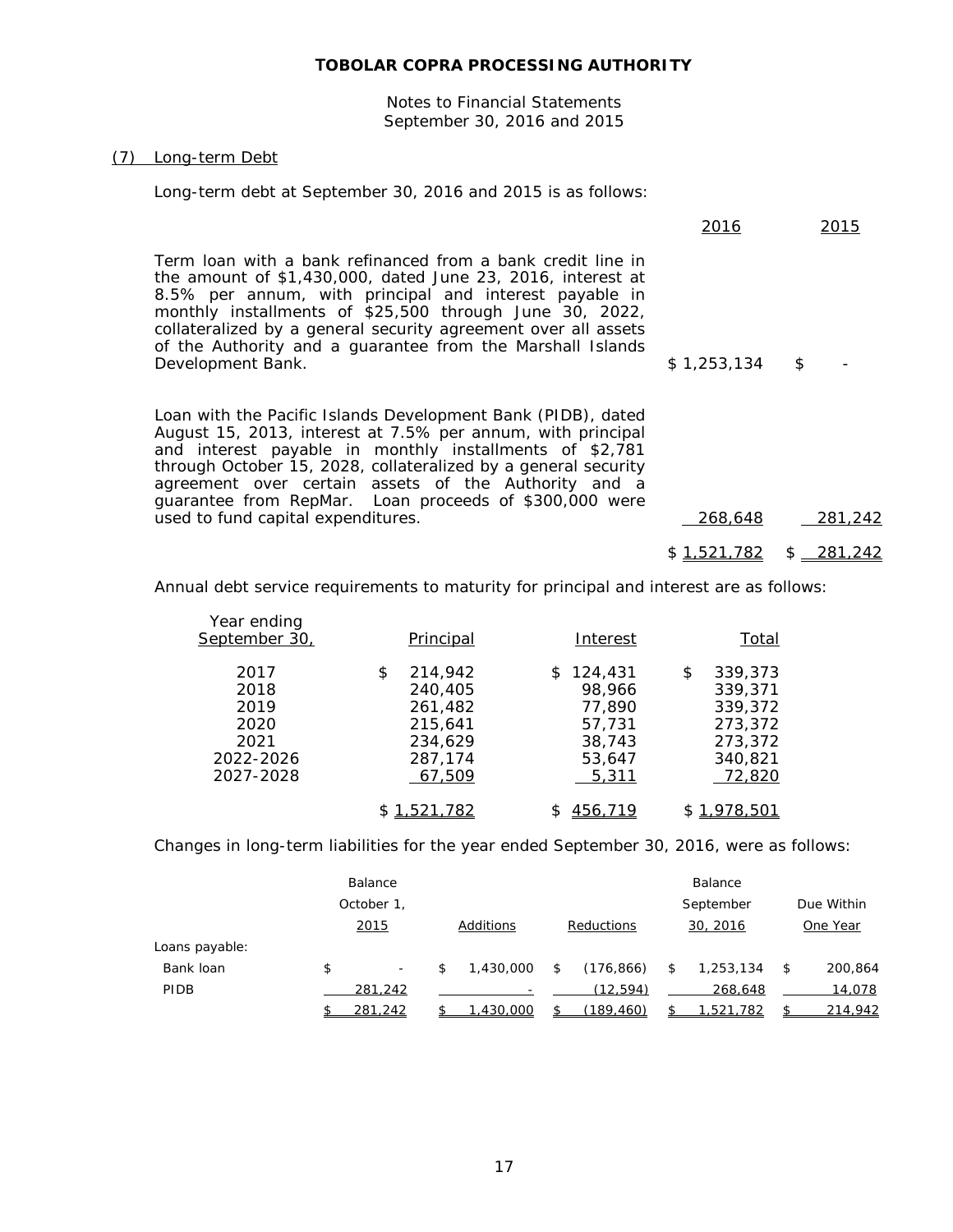Notes to Financial Statements September 30, 2016 and 2015

#### (7) Long-term Debt

Long-term debt at September 30, 2016 and 2015 is as follows:

|                                                                                                                                                                                                                                                                                                                                                                                                                  | 2016            | 2015       |
|------------------------------------------------------------------------------------------------------------------------------------------------------------------------------------------------------------------------------------------------------------------------------------------------------------------------------------------------------------------------------------------------------------------|-----------------|------------|
| Term loan with a bank refinanced from a bank credit line in<br>the amount of \$1,430,000, dated June 23, 2016, interest at<br>8.5% per annum, with principal and interest payable in<br>monthly installments of \$25,500 through June 30, 2022,<br>collateralized by a general security agreement over all assets<br>of the Authority and a guarantee from the Marshall Islands<br>Development Bank.             | $$1,253,134$ \$ |            |
| Loan with the Pacific Islands Development Bank (PIDB), dated<br>August 15, 2013, interest at 7.5% per annum, with principal<br>and interest payable in monthly installments of \$2,781<br>through October 15, 2028, collateralized by a general security<br>agreement over certain assets of the Authority and a<br>guarantee from RepMar. Loan proceeds of \$300,000 were<br>used to fund capital expenditures. | 268.648         | 281,242    |
|                                                                                                                                                                                                                                                                                                                                                                                                                  | \$1,521,782     | \$ 281,242 |

Annual debt service requirements to maturity for principal and interest are as follows:

| Year ending<br>September 30,                                   | Principal                                                                     | Interest                                                                 | Total                                                                          |
|----------------------------------------------------------------|-------------------------------------------------------------------------------|--------------------------------------------------------------------------|--------------------------------------------------------------------------------|
| 2017<br>2018<br>2019<br>2020<br>2021<br>2022-2026<br>2027-2028 | 214,942<br>S<br>240.405<br>261,482<br>215,641<br>234,629<br>287,174<br>67,509 | 124,431<br>S.<br>98,966<br>77,890<br>57,731<br>38,743<br>53,647<br>5,311 | 339,373<br>\$<br>339,371<br>339,372<br>273,372<br>273,372<br>340,821<br>72,820 |
|                                                                | \$1,521,782                                                                   |                                                                          | \$1,978,501                                                                    |

Changes in long-term liabilities for the year ended September 30, 2016, were as follows:

|                | Balance                        |   |           |                   | Balance         |      |            |
|----------------|--------------------------------|---|-----------|-------------------|-----------------|------|------------|
|                | October 1,                     |   |           |                   | September       |      | Due Within |
|                | 2015                           |   | Additions | <b>Reductions</b> | 30, 2016        |      | One Year   |
| Loans payable: |                                |   |           |                   |                 |      |            |
| Bank loan      | \$<br>$\overline{\phantom{a}}$ | S | 1,430,000 | \$<br>(176, 866)  | \$<br>1,253,134 | - \$ | 200,864    |
| PIDB           | 281,242                        |   |           | (12,594)          | 268,648         |      | 14,078     |
|                | 281.242                        |   | .430.000  | (189,460)         | 521.782         |      | 214.942    |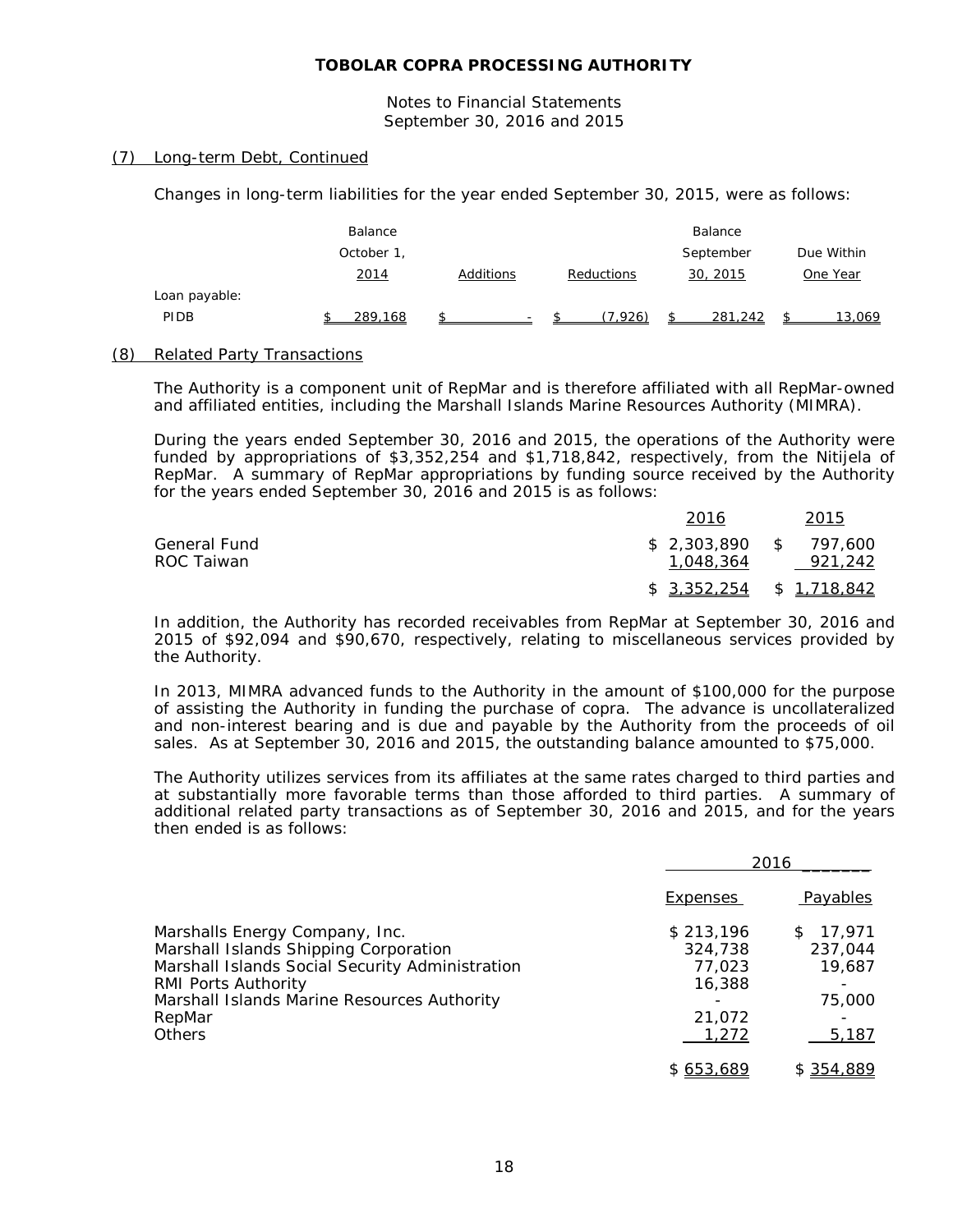Notes to Financial Statements September 30, 2016 and 2015

#### (7) Long-term Debt, Continued

Changes in long-term liabilities for the year ended September 30, 2015, were as follows:

|               | Balance    |           |                   | Balance   |            |  |  |
|---------------|------------|-----------|-------------------|-----------|------------|--|--|
|               | October 1, |           |                   | September | Due Within |  |  |
|               | 2014       | Additions | <b>Reductions</b> | 30, 2015  | One Year   |  |  |
| Loan payable: |            |           |                   |           |            |  |  |
| PIDB          | 289.168    |           | 7.926)            | 281.242   | 13.069     |  |  |

#### (8) Related Party Transactions

The Authority is a component unit of RepMar and is therefore affiliated with all RepMar-owned and affiliated entities, including the Marshall Islands Marine Resources Authority (MIMRA).

During the years ended September 30, 2016 and 2015, the operations of the Authority were funded by appropriations of \$3,352,254 and \$1,718,842, respectively, from the Nitijela of RepMar. A summary of RepMar appropriations by funding source received by the Authority for the years ended September 30, 2016 and 2015 is as follows:

|                            | 2016                                 | 2015    |
|----------------------------|--------------------------------------|---------|
| General Fund<br>ROC Taiwan | $$2,303,890$ $$797,600$<br>1,048,364 | 921,242 |
|                            | $$3,352,254$ $$1,718,842$            |         |

In addition, the Authority has recorded receivables from RepMar at September 30, 2016 and 2015 of \$92,094 and \$90,670, respectively, relating to miscellaneous services provided by the Authority.

In 2013, MIMRA advanced funds to the Authority in the amount of \$100,000 for the purpose of assisting the Authority in funding the purchase of copra. The advance is uncollateralized and non-interest bearing and is due and payable by the Authority from the proceeds of oil sales. As at September 30, 2016 and 2015, the outstanding balance amounted to \$75,000.

The Authority utilizes services from its affiliates at the same rates charged to third parties and at substantially more favorable terms than those afforded to third parties. A summary of additional related party transactions as of September 30, 2016 and 2015, and for the years then ended is as follows:

|                                                                                                                                                                                                                                    | 2016                                                        |                                                      |
|------------------------------------------------------------------------------------------------------------------------------------------------------------------------------------------------------------------------------------|-------------------------------------------------------------|------------------------------------------------------|
|                                                                                                                                                                                                                                    | <b>Expenses</b>                                             | Payables                                             |
| Marshalls Energy Company, Inc.<br>Marshall Islands Shipping Corporation<br>Marshall Islands Social Security Administration<br><b>RMI Ports Authority</b><br>Marshall Islands Marine Resources Authority<br>RepMar<br><b>Others</b> | \$213,196<br>324,738<br>77,023<br>16,388<br>21,072<br>1,272 | 17,971<br>\$<br>237,044<br>19,687<br>75,000<br>5,187 |
|                                                                                                                                                                                                                                    | \$ 653.689                                                  | \$354.889                                            |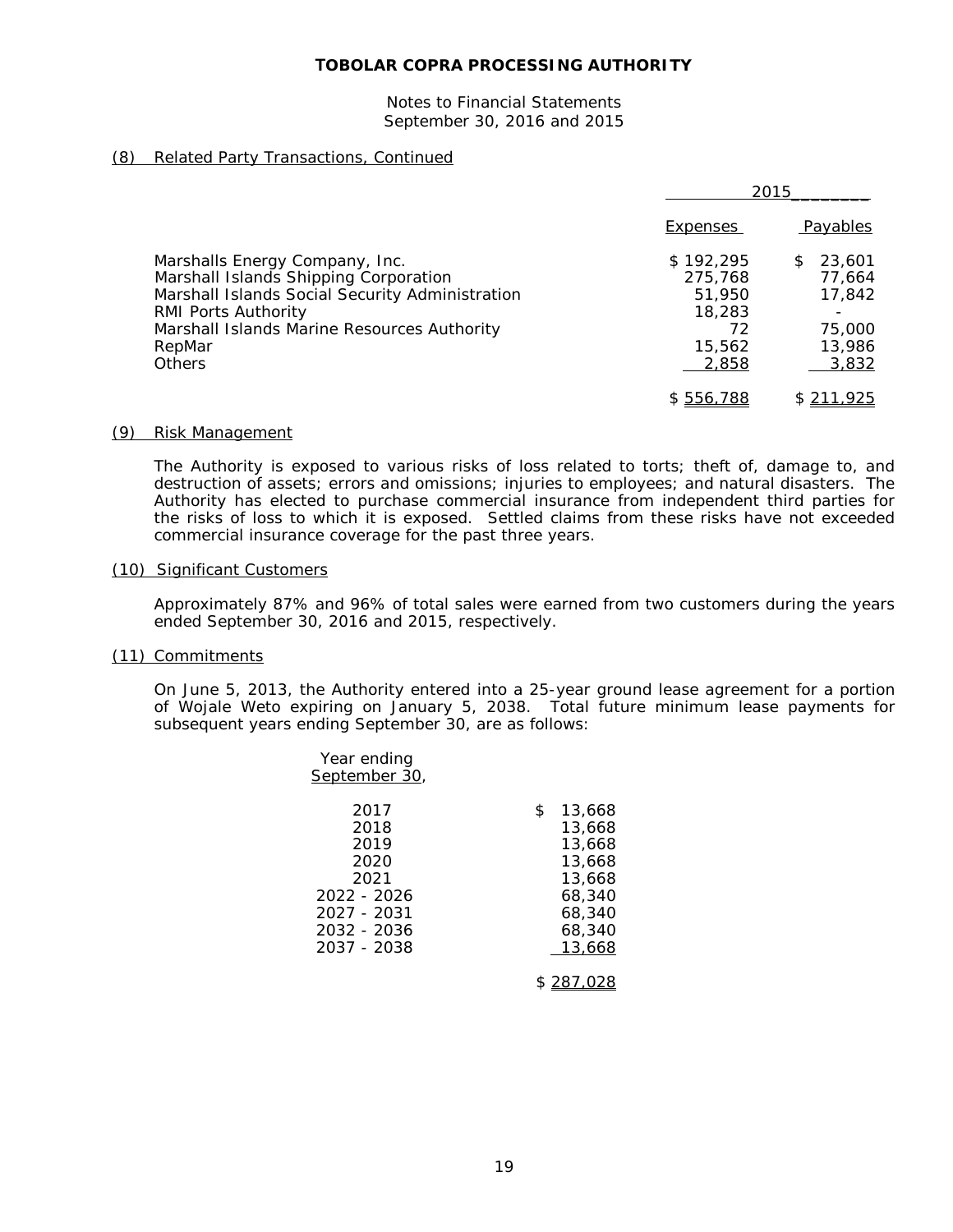Notes to Financial Statements September 30, 2016 and 2015

#### (8) Related Party Transactions, Continued

|                                                 | 2015            |              |
|-------------------------------------------------|-----------------|--------------|
|                                                 | <b>Expenses</b> | Payables     |
| Marshalls Energy Company, Inc.                  | \$192,295       | 23,601<br>\$ |
| Marshall Islands Shipping Corporation           | 275,768         | 77,664       |
| Marshall Islands Social Security Administration | 51,950          | 17,842       |
| RMI Ports Authority                             | 18,283          |              |
| Marshall Islands Marine Resources Authority     | 72              | 75,000       |
| RepMar                                          | 15,562          | 13,986       |
| <b>Others</b>                                   | 2,858           | 3,832        |
|                                                 | \$556,788       | \$211,925    |

#### (9) Risk Management

The Authority is exposed to various risks of loss related to torts; theft of, damage to, and destruction of assets; errors and omissions; injuries to employees; and natural disasters. The Authority has elected to purchase commercial insurance from independent third parties for the risks of loss to which it is exposed. Settled claims from these risks have not exceeded commercial insurance coverage for the past three years.

#### (10) Significant Customers

Approximately 87% and 96% of total sales were earned from two customers during the years ended September 30, 2016 and 2015, respectively.

#### (11) Commitments

On June 5, 2013, the Authority entered into a 25-year ground lease agreement for a portion of Wojale Weto expiring on January 5, 2038. Total future minimum lease payments for subsequent years ending September 30, are as follows:

| Year ending<br>September 30, |              |
|------------------------------|--------------|
| 2017                         | \$<br>13,668 |
| 2018                         | 13,668       |
| 2019                         | 13,668       |
| 2020                         | 13,668       |
| 2021                         | 13,668       |
| 2022 - 2026                  | 68,340       |
| 2027 - 2031                  | 68,340       |
| 2032 - 2036                  | 68,340       |
| 2037 - 2038                  | 13,668       |
|                              |              |

\$ 287,028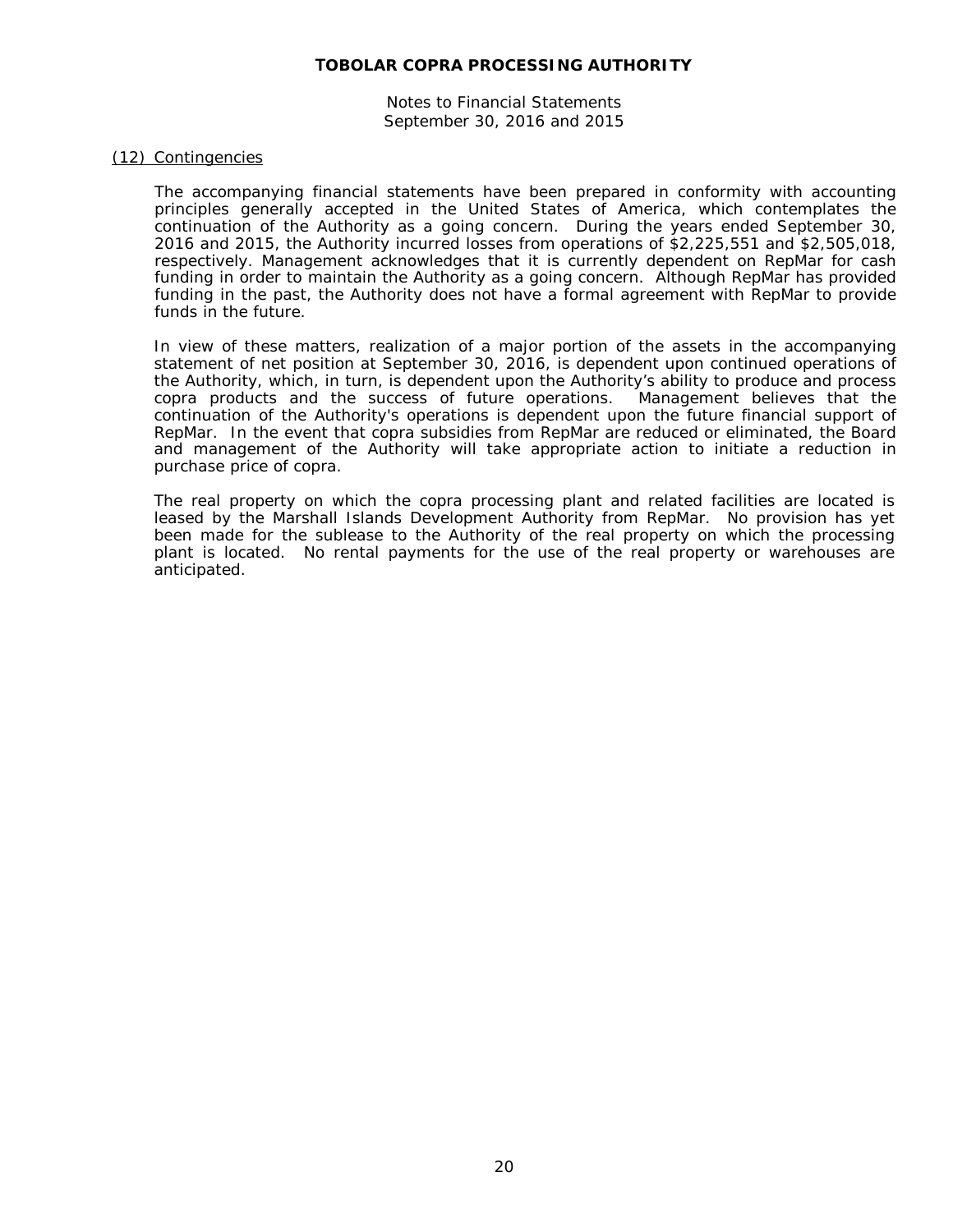Notes to Financial Statements September 30, 2016 and 2015

#### (12) Contingencies

The accompanying financial statements have been prepared in conformity with accounting principles generally accepted in the United States of America, which contemplates the continuation of the Authority as a going concern. During the years ended September 30, 2016 and 2015, the Authority incurred losses from operations of \$2,225,551 and \$2,505,018, respectively. Management acknowledges that it is currently dependent on RepMar for cash funding in order to maintain the Authority as a going concern. Although RepMar has provided funding in the past, the Authority does not have a formal agreement with RepMar to provide funds in the future.

In view of these matters, realization of a major portion of the assets in the accompanying statement of net position at September 30, 2016, is dependent upon continued operations of the Authority, which, in turn, is dependent upon the Authority's ability to produce and process copra products and the success of future operations. Management believes that the continuation of the Authority's operations is dependent upon the future financial support of RepMar. In the event that copra subsidies from RepMar are reduced or eliminated, the Board and management of the Authority will take appropriate action to initiate a reduction in purchase price of copra.

The real property on which the copra processing plant and related facilities are located is leased by the Marshall Islands Development Authority from RepMar. No provision has yet been made for the sublease to the Authority of the real property on which the processing plant is located. No rental payments for the use of the real property or warehouses are anticipated.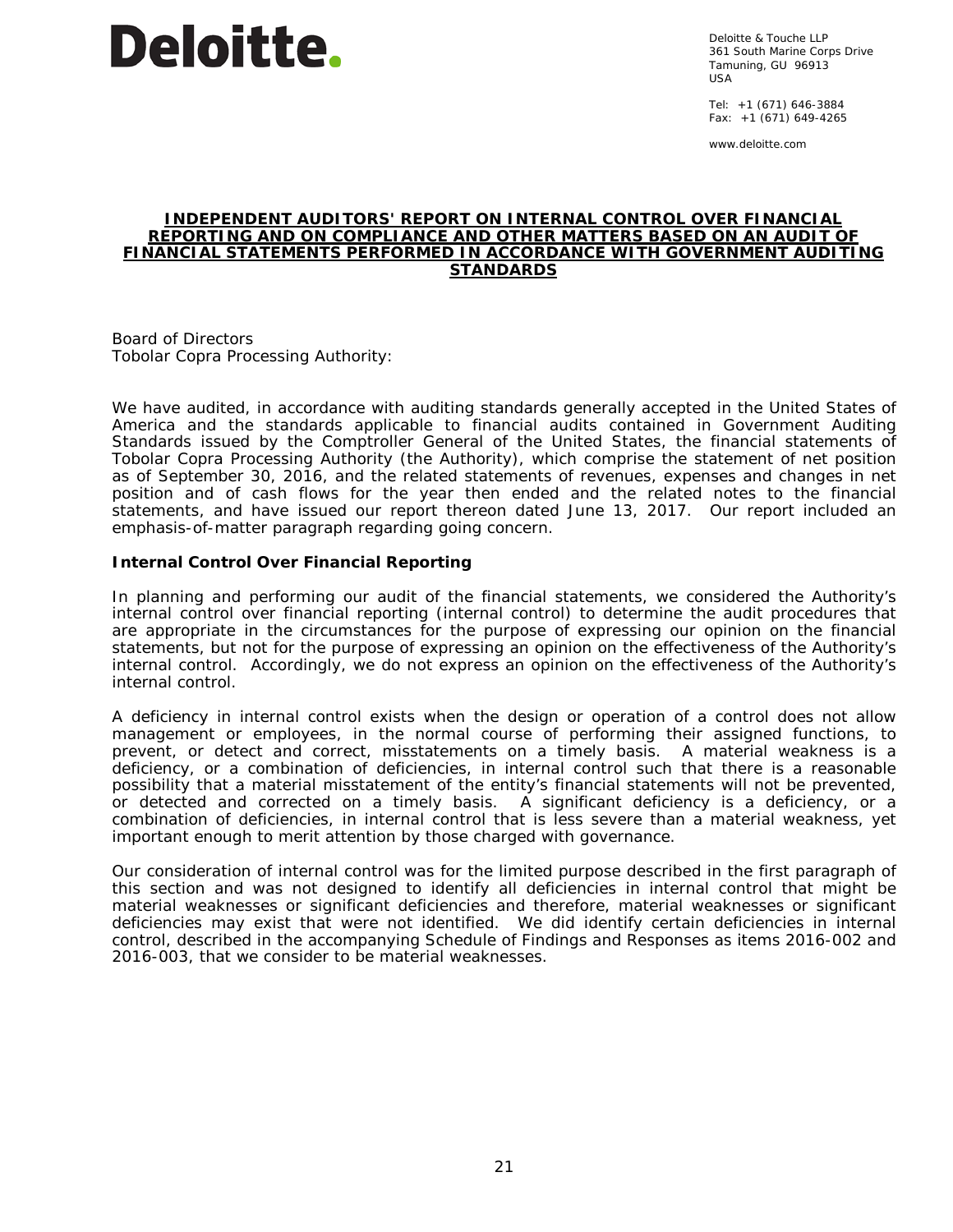

Deloitte & Touche LLP 361 South Marine Corps Drive Tamuning, GU 96913 USA

Tel: +1 (671) 646-3884 Fax: +1 (671) 649-4265

www.deloitte.com

#### **INDEPENDENT AUDITORS' REPORT ON INTERNAL CONTROL OVER FINANCIAL REPORTING AND ON COMPLIANCE AND OTHER MATTERS BASED ON AN AUDIT OF FINANCIAL STATEMENTS PERFORMED IN ACCORDANCE WITH** *GOVERNMENT AUDITING STANDARDS*

Board of Directors Tobolar Copra Processing Authority:

We have audited, in accordance with auditing standards generally accepted in the United States of America and the standards applicable to financial audits contained in *Government Auditing Standards* issued by the Comptroller General of the United States, the financial statements of Tobolar Copra Processing Authority (the Authority), which comprise the statement of net position as of September 30, 2016, and the related statements of revenues, expenses and changes in net position and of cash flows for the year then ended and the related notes to the financial statements, and have issued our report thereon dated June 13, 2017. Our report included an emphasis-of-matter paragraph regarding going concern.

#### **Internal Control Over Financial Reporting**

In planning and performing our audit of the financial statements, we considered the Authority's internal control over financial reporting (internal control) to determine the audit procedures that are appropriate in the circumstances for the purpose of expressing our opinion on the financial statements, but not for the purpose of expressing an opinion on the effectiveness of the Authority's internal control. Accordingly, we do not express an opinion on the effectiveness of the Authority's internal control.

A *deficiency in internal control* exists when the design or operation of a control does not allow management or employees, in the normal course of performing their assigned functions, to prevent, or detect and correct, misstatements on a timely basis. A *material weakness* is a deficiency, or a combination of deficiencies, in internal control such that there is a reasonable possibility that a material misstatement of the entity's financial statements will not be prevented, or detected and corrected on a timely basis. A *significant deficiency* is a deficiency, or a combination of deficiencies, in internal control that is less severe than a material weakness, yet important enough to merit attention by those charged with governance.

Our consideration of internal control was for the limited purpose described in the first paragraph of this section and was not designed to identify all deficiencies in internal control that might be material weaknesses or significant deficiencies and therefore, material weaknesses or significant deficiencies may exist that were not identified. We did identify certain deficiencies in internal control, described in the accompanying Schedule of Findings and Responses as items 2016-002 and 2016-003, that we consider to be material weaknesses.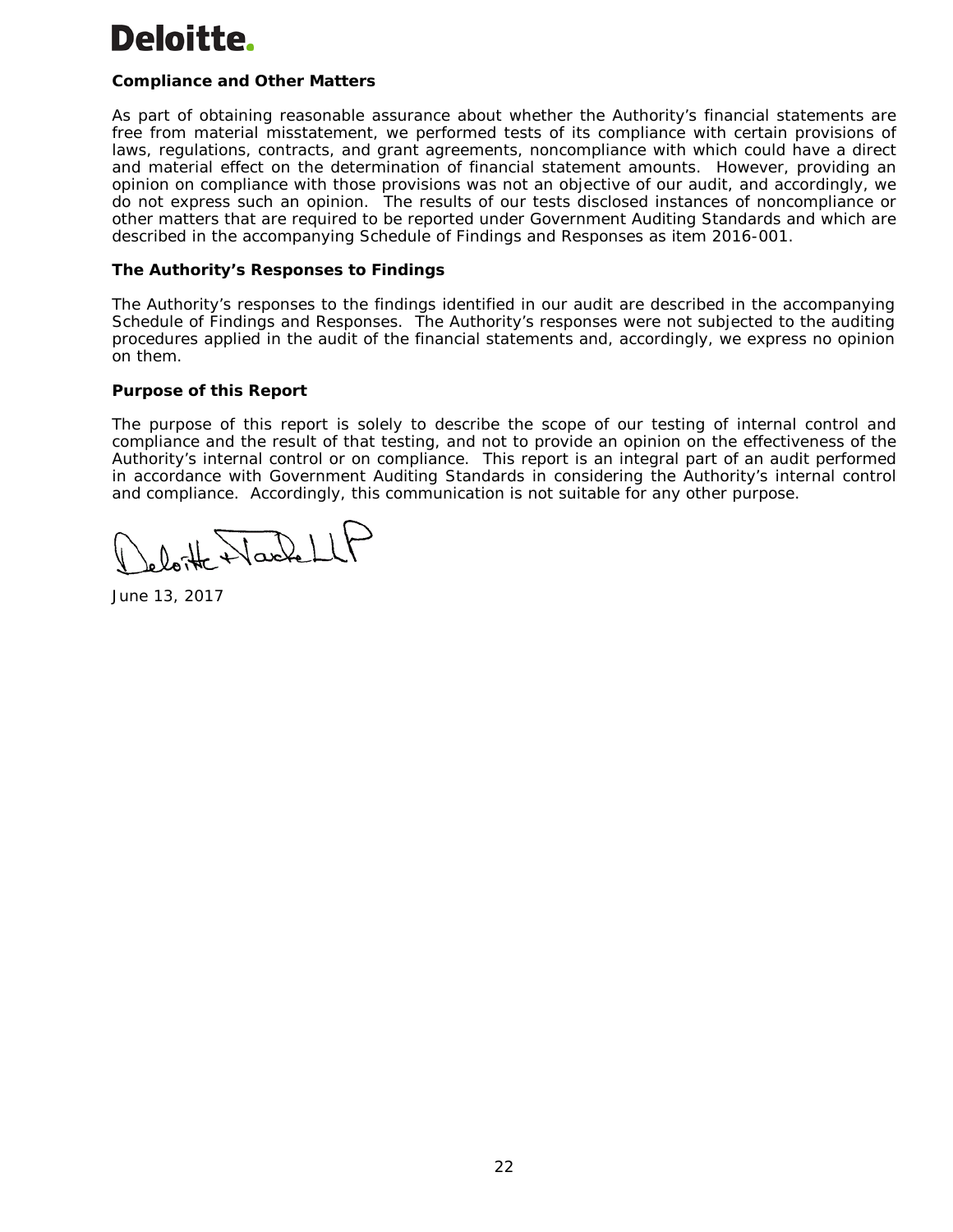# **Deloitte**

# **Compliance and Other Matters**

As part of obtaining reasonable assurance about whether the Authority's financial statements are free from material misstatement, we performed tests of its compliance with certain provisions of laws, regulations, contracts, and grant agreements, noncompliance with which could have a direct and material effect on the determination of financial statement amounts. However, providing an opinion on compliance with those provisions was not an objective of our audit, and accordingly, we do not express such an opinion. The results of our tests disclosed instances of noncompliance or other matters that are required to be reported under *Government Auditing Standards* and which are described in the accompanying Schedule of Findings and Responses as item 2016-001.

# **The Authority's Responses to Findings**

The Authority's responses to the findings identified in our audit are described in the accompanying Schedule of Findings and Responses. The Authority's responses were not subjected to the auditing procedures applied in the audit of the financial statements and, accordingly, we express no opinion on them.

# **Purpose of this Report**

The purpose of this report is solely to describe the scope of our testing of internal control and compliance and the result of that testing, and not to provide an opinion on the effectiveness of the Authority's internal control or on compliance. This report is an integral part of an audit performed in accordance with *Government Auditing Standards* in considering the Authority's internal control and compliance. Accordingly, this communication is not suitable for any other purpose.

loite Nachell

June 13, 2017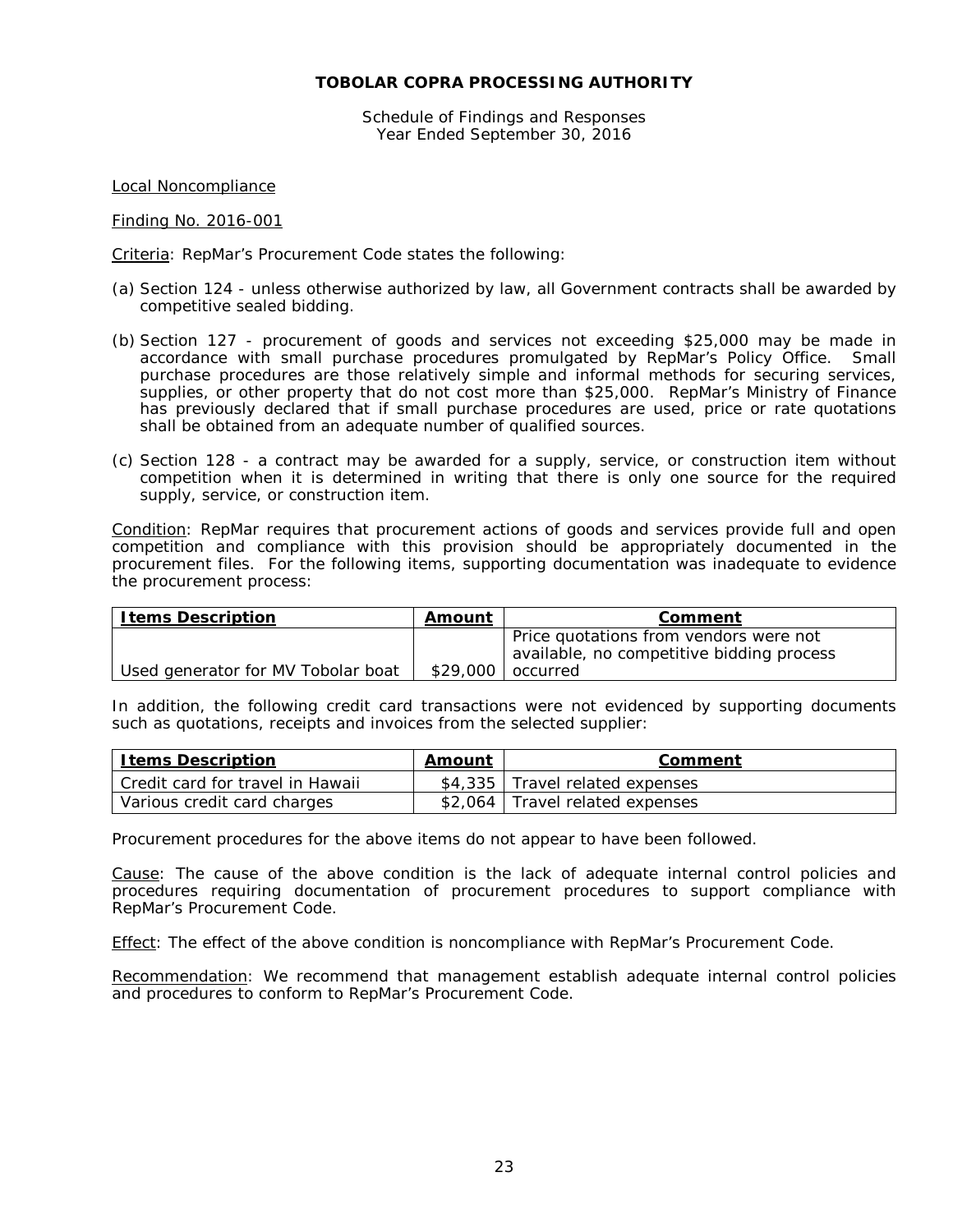Schedule of Findings and Responses Year Ended September 30, 2016

#### Local Noncompliance

#### Finding No. 2016-001

Criteria: RepMar's Procurement Code states the following:

- (a) Section 124 unless otherwise authorized by law, all Government contracts shall be awarded by competitive sealed bidding.
- (b) Section 127 procurement of goods and services not exceeding \$25,000 may be made in accordance with small purchase procedures promulgated by RepMar's Policy Office. Small purchase procedures are those relatively simple and informal methods for securing services, supplies, or other property that do not cost more than \$25,000. RepMar's Ministry of Finance has previously declared that if small purchase procedures are used, price or rate quotations shall be obtained from an adequate number of qualified sources.
- (c) Section 128 a contract may be awarded for a supply, service, or construction item without competition when it is determined in writing that there is only one source for the required supply, service, or construction item.

Condition: RepMar requires that procurement actions of goods and services provide full and open competition and compliance with this provision should be appropriately documented in the procurement files. For the following items, supporting documentation was inadequate to evidence the procurement process:

| <b>Items Description</b>           | Amount | Comment                                                                             |
|------------------------------------|--------|-------------------------------------------------------------------------------------|
|                                    |        | Price quotations from vendors were not<br>available, no competitive bidding process |
| Used generator for MV Tobolar boat |        | $$29,000$   occurred                                                                |

In addition, the following credit card transactions were not evidenced by supporting documents such as quotations, receipts and invoices from the selected supplier:

| <b>Items Description</b>           | Amount | Comment                         |
|------------------------------------|--------|---------------------------------|
| l Credit card for travel in Hawaii |        | \$4,335 Travel related expenses |
| Various credit card charges        |        | \$2,064 Travel related expenses |

Procurement procedures for the above items do not appear to have been followed.

Cause: The cause of the above condition is the lack of adequate internal control policies and procedures requiring documentation of procurement procedures to support compliance with RepMar's Procurement Code.

Effect: The effect of the above condition is noncompliance with RepMar's Procurement Code.

Recommendation: We recommend that management establish adequate internal control policies and procedures to conform to RepMar's Procurement Code.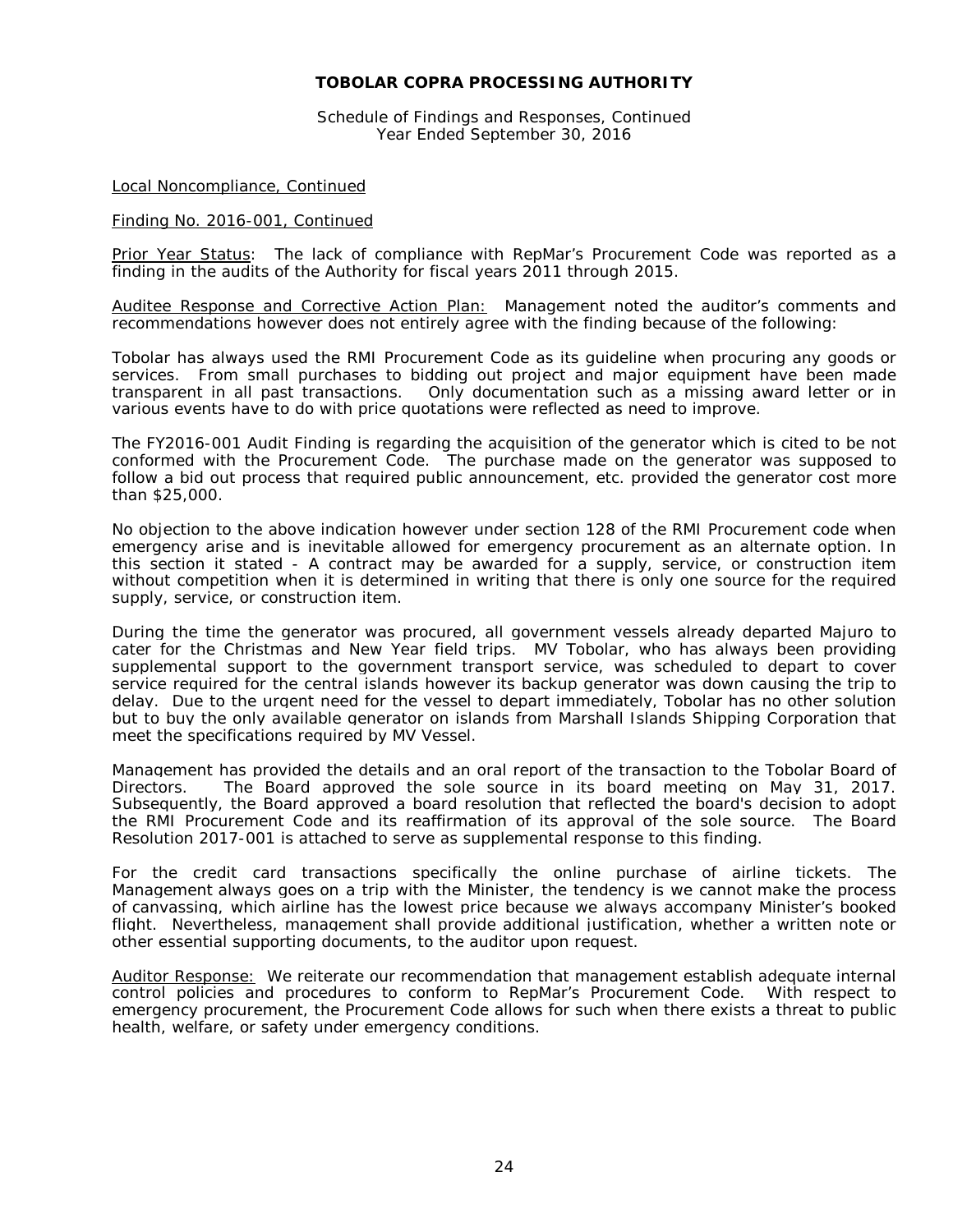Schedule of Findings and Responses, Continued Year Ended September 30, 2016

#### Local Noncompliance, Continued

#### Finding No. 2016-001, Continued

Prior Year Status: The lack of compliance with RepMar's Procurement Code was reported as a finding in the audits of the Authority for fiscal years 2011 through 2015.

Auditee Response and Corrective Action Plan: Management noted the auditor's comments and recommendations however does not entirely agree with the finding because of the following:

Tobolar has always used the RMI Procurement Code as its guideline when procuring any goods or services. From small purchases to bidding out project and major equipment have been made transparent in all past transactions. Only documentation such as a missing award letter or in various events have to do with price quotations were reflected as need to improve.

The FY2016-001 Audit Finding is regarding the acquisition of the generator which is cited to be not conformed with the Procurement Code. The purchase made on the generator was supposed to follow a bid out process that required public announcement, etc. provided the generator cost more than \$25,000.

No objection to the above indication however under section 128 of the RMI Procurement code when emergency arise and is inevitable allowed for emergency procurement as an alternate option. In this section it stated - A contract may be awarded for a supply, service, or construction item without competition when it is determined in writing that there is only one source for the required supply, service, or construction item.

During the time the generator was procured, all government vessels already departed Majuro to cater for the Christmas and New Year field trips. MV Tobolar, who has always been providing supplemental support to the government transport service, was scheduled to depart to cover service required for the central islands however its backup generator was down causing the trip to delay. Due to the urgent need for the vessel to depart immediately, Tobolar has no other solution but to buy the only available generator on islands from Marshall Islands Shipping Corporation that meet the specifications required by MV Vessel.

Management has provided the details and an oral report of the transaction to the Tobolar Board of Directors. The Board approved the sole source in its board meeting on May 31, 2017. Subsequently, the Board approved a board resolution that reflected the board's decision to adopt the RMI Procurement Code and its reaffirmation of its approval of the sole source. The Board Resolution 2017-001 is attached to serve as supplemental response to this finding.

For the credit card transactions specifically the online purchase of airline tickets. The Management always goes on a trip with the Minister, the tendency is we cannot make the process of canvassing, which airline has the lowest price because we always accompany Minister's booked flight. Nevertheless, management shall provide additional justification, whether a written note or other essential supporting documents, to the auditor upon request.

Auditor Response: We reiterate our recommendation that management establish adequate internal control policies and procedures to conform to RepMar's Procurement Code. With respect to emergency procurement, the Procurement Code allows for such when there exists a threat to public health, welfare, or safety under emergency conditions.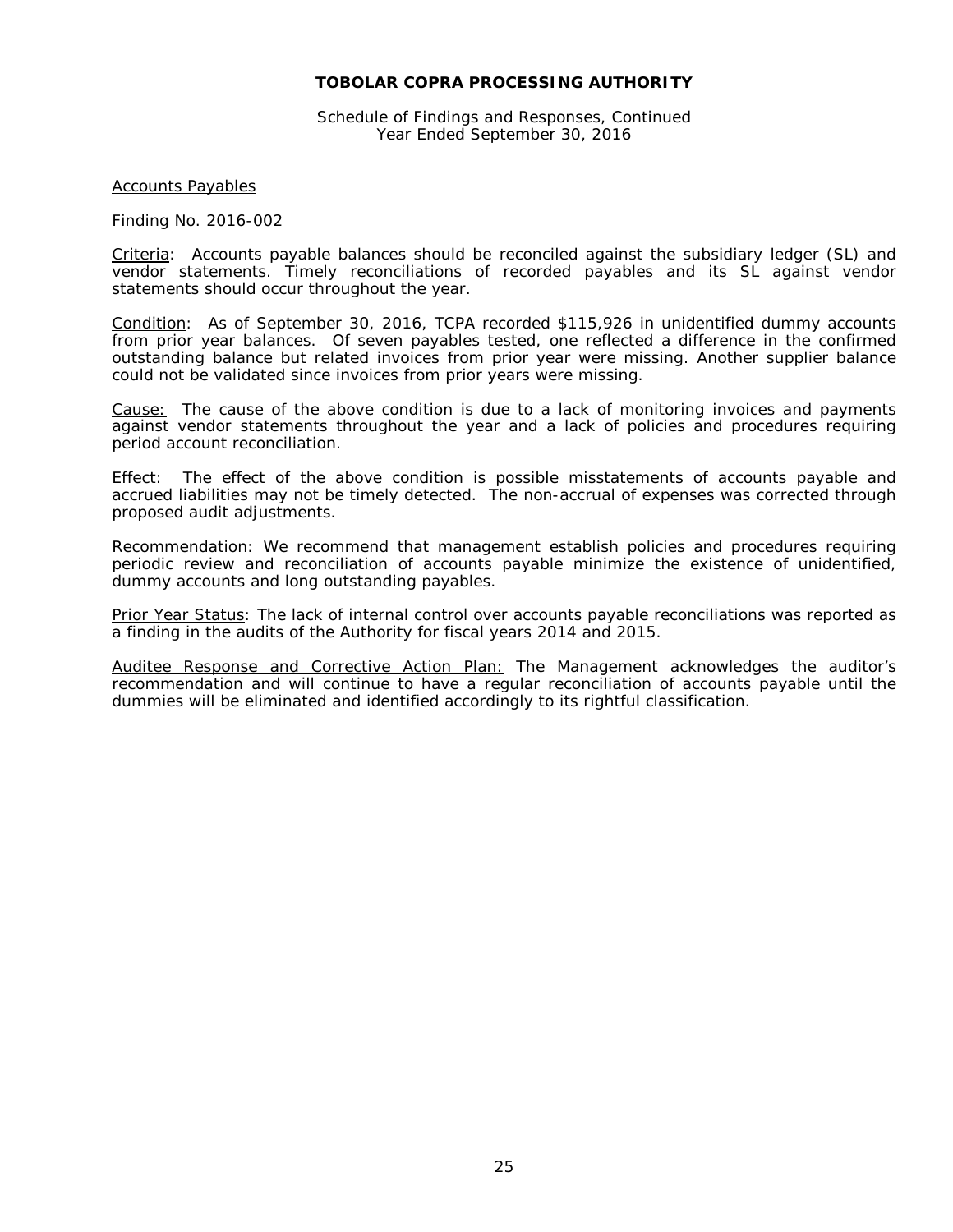Schedule of Findings and Responses, Continued Year Ended September 30, 2016

#### Accounts Payables

#### Finding No. 2016-002

Criteria: Accounts payable balances should be reconciled against the subsidiary ledger (SL) and vendor statements. Timely reconciliations of recorded payables and its SL against vendor statements should occur throughout the year.

Condition: As of September 30, 2016, TCPA recorded \$115,926 in unidentified dummy accounts from prior year balances. Of seven payables tested, one reflected a difference in the confirmed outstanding balance but related invoices from prior year were missing. Another supplier balance could not be validated since invoices from prior years were missing.

Cause: The cause of the above condition is due to a lack of monitoring invoices and payments against vendor statements throughout the year and a lack of policies and procedures requiring period account reconciliation.

Effect: The effect of the above condition is possible misstatements of accounts payable and accrued liabilities may not be timely detected. The non-accrual of expenses was corrected through proposed audit adjustments.

Recommendation: We recommend that management establish policies and procedures requiring periodic review and reconciliation of accounts payable minimize the existence of unidentified, dummy accounts and long outstanding payables.

Prior Year Status: The lack of internal control over accounts payable reconciliations was reported as a finding in the audits of the Authority for fiscal years 2014 and 2015.

Auditee Response and Corrective Action Plan: The Management acknowledges the auditor's recommendation and will continue to have a regular reconciliation of accounts payable until the dummies will be eliminated and identified accordingly to its rightful classification.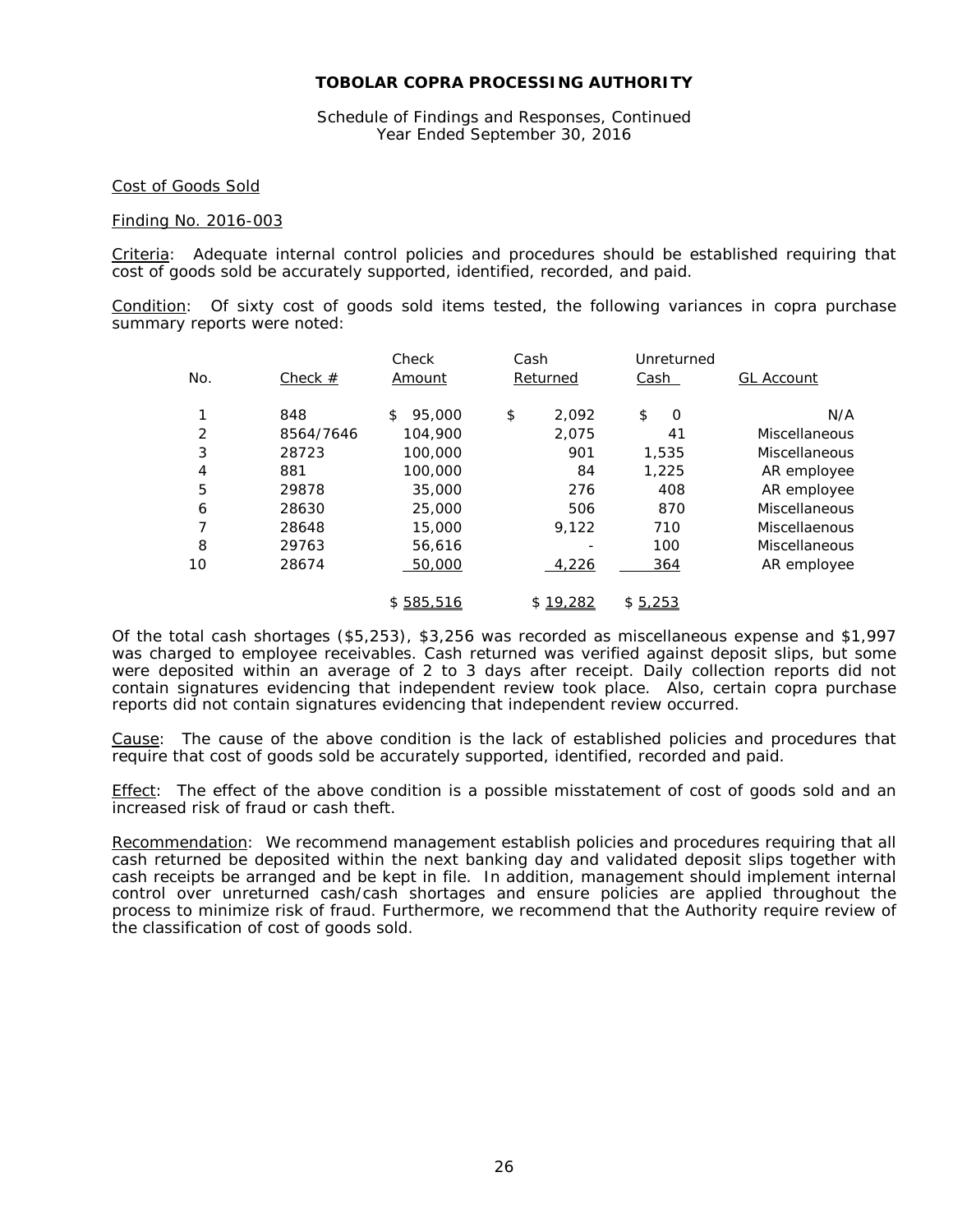Schedule of Findings and Responses, Continued Year Ended September 30, 2016

#### Cost of Goods Sold

#### Finding No. 2016-003

Criteria: Adequate internal control policies and procedures should be established requiring that cost of goods sold be accurately supported, identified, recorded, and paid.

Condition: Of sixty cost of goods sold items tested, the following variances in copra purchase summary reports were noted:

| No. | Check $#$ | Check<br>Amount | Cash<br>Returned | Unreturned<br>Cash | <b>GL Account</b>    |
|-----|-----------|-----------------|------------------|--------------------|----------------------|
|     |           |                 |                  |                    |                      |
| 1   | 848       | \$<br>95,000    | \$<br>2.092      | \$<br>$\Omega$     | N/A                  |
| 2   | 8564/7646 | 104,900         | 2,075            | 41                 | <b>Miscellaneous</b> |
| 3   | 28723     | 100,000         | 901              | 1,535              | <b>Miscellaneous</b> |
| 4   | 881       | 100,000         | 84               | 1,225              | AR employee          |
| 5   | 29878     | 35,000          | 276              | 408                | AR employee          |
| 6   | 28630     | 25,000          | 506              | 870                | Miscellaneous        |
| 7   | 28648     | 15,000          | 9.122            | 710                | Miscellaenous        |
| 8   | 29763     | 56,616          |                  | 100                | <b>Miscellaneous</b> |
| 10  | 28674     | 50,000          | 4,226            | 364                | AR employee          |
|     |           |                 |                  |                    |                      |
|     |           | \$585.516       | \$19,282         | \$5,253            |                      |

Of the total cash shortages (\$5,253), \$3,256 was recorded as miscellaneous expense and \$1,997 was charged to employee receivables. Cash returned was verified against deposit slips, but some were deposited within an average of 2 to 3 days after receipt. Daily collection reports did not contain signatures evidencing that independent review took place. Also, certain copra purchase reports did not contain signatures evidencing that independent review occurred.

Cause: The cause of the above condition is the lack of established policies and procedures that require that cost of goods sold be accurately supported, identified, recorded and paid.

Effect: The effect of the above condition is a possible misstatement of cost of goods sold and an increased risk of fraud or cash theft.

Recommendation: We recommend management establish policies and procedures requiring that all cash returned be deposited within the next banking day and validated deposit slips together with cash receipts be arranged and be kept in file. In addition, management should implement internal control over unreturned cash/cash shortages and ensure policies are applied throughout the process to minimize risk of fraud. Furthermore, we recommend that the Authority require review of the classification of cost of goods sold.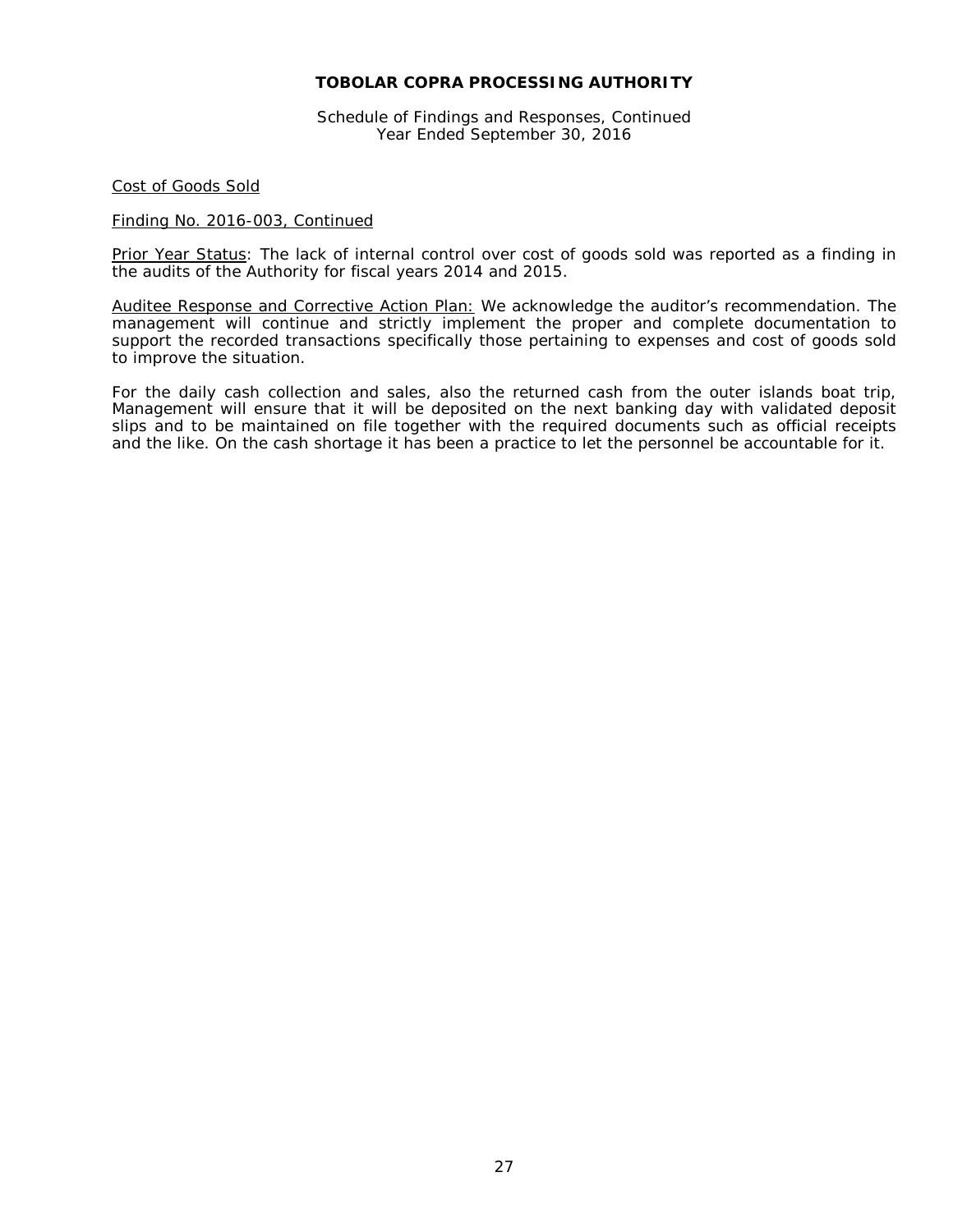Schedule of Findings and Responses, Continued Year Ended September 30, 2016

#### Cost of Goods Sold

#### Finding No. 2016-003, Continued

Prior Year Status: The lack of internal control over cost of goods sold was reported as a finding in the audits of the Authority for fiscal years 2014 and 2015.

Auditee Response and Corrective Action Plan: We acknowledge the auditor's recommendation. The management will continue and strictly implement the proper and complete documentation to support the recorded transactions specifically those pertaining to expenses and cost of goods sold to improve the situation.

For the daily cash collection and sales, also the returned cash from the outer islands boat trip, Management will ensure that it will be deposited on the next banking day with validated deposit slips and to be maintained on file together with the required documents such as official receipts and the like. On the cash shortage it has been a practice to let the personnel be accountable for it.